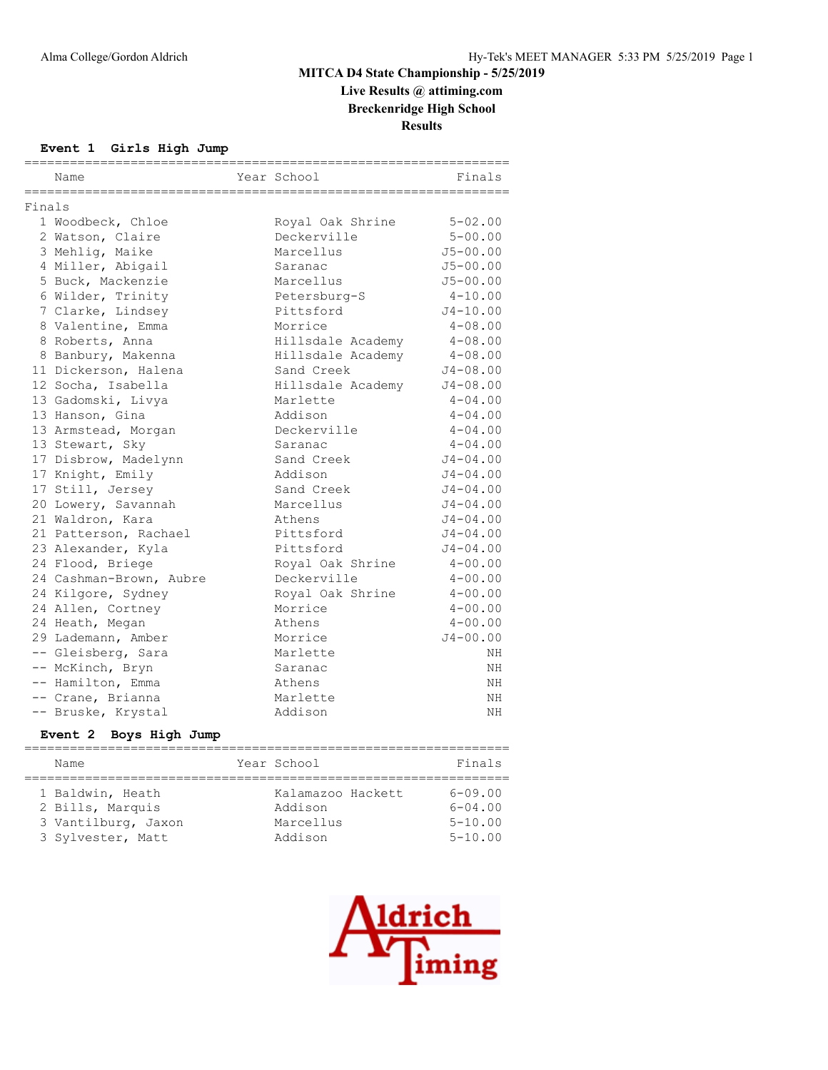**Live Results @ attiming.com**

**Breckenridge High School**

**Results**

#### **Event 1 Girls High Jump**

|        | Name                    | Year School       | =====================<br>Finals |
|--------|-------------------------|-------------------|---------------------------------|
| Finals |                         |                   |                                 |
|        | 1 Woodbeck, Chloe       | Royal Oak Shrine  | $5 - 02.00$                     |
|        | 2 Watson, Claire        | Deckerville       | $5 - 00.00$                     |
|        | 3 Mehlig, Maike         | Marcellus         | $J5 - 00.00$                    |
|        | 4 Miller, Abigail       | Saranac           | $J5 - 00.00$                    |
|        | 5 Buck, Mackenzie       | Marcellus         | $J5 - 00.00$                    |
|        | 6 Wilder, Trinity       | Petersburg-S      | $4 - 10.00$                     |
|        | 7 Clarke, Lindsey       | Pittsford         | $J4 - 10.00$                    |
|        | 8 Valentine, Emma       | Morrice           | $4 - 08.00$                     |
|        | 8 Roberts, Anna         | Hillsdale Academy | $4 - 08.00$                     |
|        | 8 Banbury, Makenna      | Hillsdale Academy | $4 - 08.00$                     |
|        | 11 Dickerson, Halena    | Sand Creek        | $J4 - 08.00$                    |
|        | 12 Socha, Isabella      | Hillsdale Academy | $J4 - 08.00$                    |
|        | 13 Gadomski, Livya      | Marlette          | $4 - 04.00$                     |
|        | 13 Hanson, Gina         | Addison           | $4 - 04.00$                     |
|        | 13 Armstead, Morgan     | Deckerville       | $4 - 04.00$                     |
|        | 13 Stewart, Sky         | Saranac           | $4 - 04.00$                     |
|        | 17 Disbrow, Madelynn    | Sand Creek        | $J4 - 04.00$                    |
|        | 17 Knight, Emily        | Addison           | $J4 - 04.00$                    |
|        | 17 Still, Jersey        | Sand Creek        | $J4 - 04.00$                    |
|        | 20 Lowery, Savannah     | Marcellus         | $J4 - 04.00$                    |
|        | 21 Waldron, Kara        | Athens            | $J4 - 04.00$                    |
|        | 21 Patterson, Rachael   | Pittsford         | $J4 - 04.00$                    |
|        | 23 Alexander, Kyla      | Pittsford         | $J4 - 04.00$                    |
|        | 24 Flood, Briege        | Royal Oak Shrine  | $4 - 00.00$                     |
|        | 24 Cashman-Brown, Aubre | Deckerville       | $4 - 00.00$                     |
|        | 24 Kilgore, Sydney      | Royal Oak Shrine  | $4 - 00.00$                     |
|        | 24 Allen, Cortney       | Morrice           | $4 - 00.00$                     |
|        | 24 Heath, Megan         | Athens            | $4 - 00.00$                     |
|        | 29 Lademann, Amber      | Morrice           | $J4 - 00.00$                    |
|        | -- Gleisberg, Sara      | Marlette          | NH                              |
|        | -- McKinch, Bryn        | Saranac           | NH                              |
|        | -- Hamilton, Emma       | Athens            | ΝH                              |
|        | -- Crane, Brianna       | Marlette          | ΝH                              |
|        | -- Bruske, Krystal      | Addison           | NΗ                              |

## **Event 2 Boys High Jump**

| Name                | Year School       | Finals      |
|---------------------|-------------------|-------------|
|                     |                   |             |
| 1 Baldwin, Heath    | Kalamazoo Hackett | $6 - 09.00$ |
| 2 Bills, Marquis    | Addison           | $6 - 04.00$ |
| 3 Vantilburg, Jaxon | Marcellus         | $5 - 10.00$ |
| 3 Sylvester, Matt   | Addison           | $5 - 10.00$ |

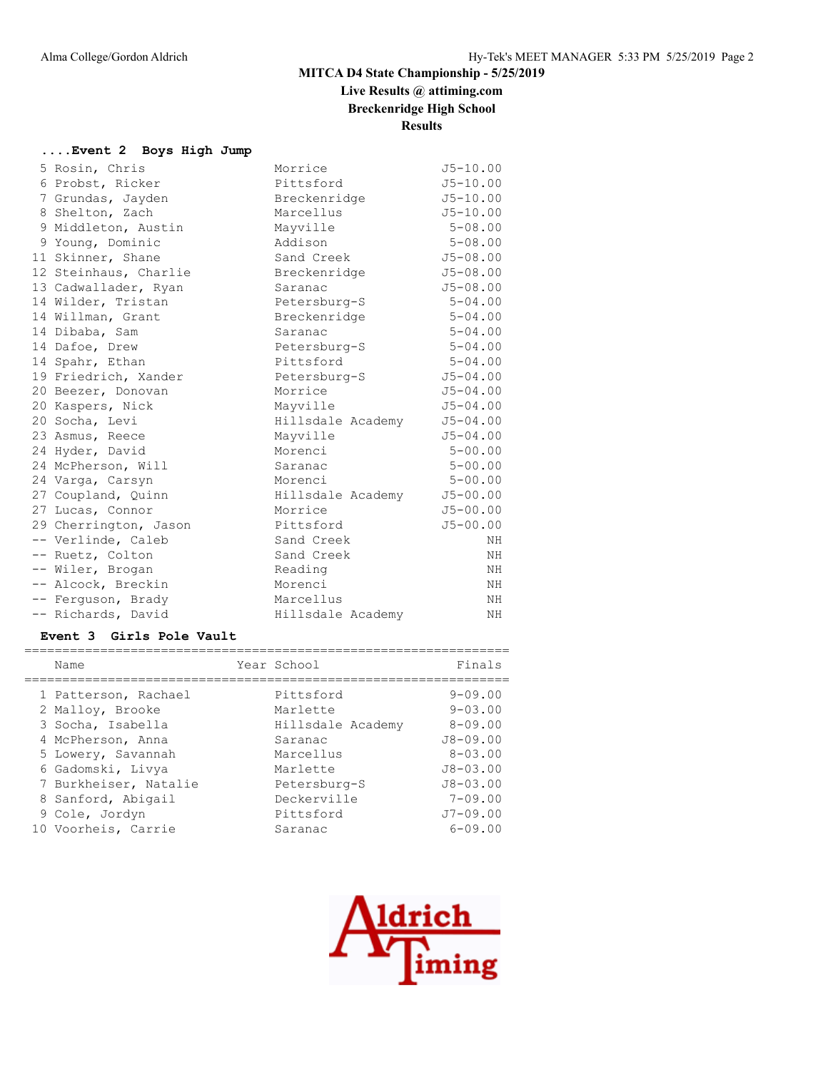# **Live Results @ attiming.com**

**Breckenridge High School**

**Results**

#### **....Event 2 Boys High Jump**

| 5 Rosin, Chris        | Morrice           | $J5 - 10.00$ |
|-----------------------|-------------------|--------------|
| 6 Probst, Ricker      | Pittsford         | $J5 - 10.00$ |
| 7 Grundas, Jayden     | Breckenridge      | $J5 - 10.00$ |
| 8 Shelton, Zach       | Marcellus         | $J5 - 10.00$ |
| 9 Middleton, Austin   | Mayville          | $5 - 08.00$  |
| 9 Young, Dominic      | Addison           | $5 - 08.00$  |
| 11 Skinner, Shane     | Sand Creek        | $J5 - 08.00$ |
| 12 Steinhaus, Charlie | Breckenridge      | $J5 - 08.00$ |
| 13 Cadwallader, Ryan  | Saranac           | $J5 - 08.00$ |
| 14 Wilder, Tristan    | Petersburg-S      | $5 - 04.00$  |
| 14 Willman, Grant     | Breckenridge      | $5 - 04.00$  |
| 14 Dibaba, Sam        | Saranac           | $5 - 04.00$  |
| 14 Dafoe, Drew        | Petersburg-S      | $5 - 04.00$  |
| 14 Spahr, Ethan       | Pittsford         | $5 - 04.00$  |
| 19 Friedrich, Xander  | Petersburg-S      | $J5 - 04.00$ |
| 20 Beezer, Donovan    | Morrice           | $J5 - 04.00$ |
| 20 Kaspers, Nick      | Mayville          | $J5 - 04.00$ |
| 20 Socha, Levi        | Hillsdale Academy | $J5 - 04.00$ |
| 23 Asmus, Reece       | Mayville          | $J5 - 04.00$ |
| 24 Hyder, David       | Morenci           | $5 - 00.00$  |
| 24 McPherson, Will    | Saranac           | $5 - 00.00$  |
| 24 Varga, Carsyn      | Morenci           | $5 - 00.00$  |
| 27 Coupland, Quinn    | Hillsdale Academy | $J5 - 00.00$ |
| 27 Lucas, Connor      | Morrice           | $J5 - 00.00$ |
| 29 Cherrington, Jason | Pittsford         | $J5 - 00.00$ |
| -- Verlinde, Caleb    | Sand Creek        | NΗ           |
| -- Ruetz, Colton      | Sand Creek        | ΝH           |
| -- Wiler, Brogan      | Reading           | ΝH           |
| -- Alcock, Breckin    | Morenci           | NH           |
| -- Ferguson, Brady    | Marcellus         | NH           |
| -- Richards, David    | Hillsdale Academy | ΝH           |

#### **Event 3 Girls Pole Vault**

|  | Name                  | Year School       | Finals         |
|--|-----------------------|-------------------|----------------|
|  | 1 Patterson, Rachael  | Pittsford         | $9 - 09.00$    |
|  | 2 Malloy, Brooke      | Marlette          | $9 - 0.3$ , 00 |
|  | 3 Socha, Isabella     | Hillsdale Academy | $8 - 09.00$    |
|  | 4 McPherson, Anna     | Saranac           | $J8 - 09.00$   |
|  | 5 Lowery, Savannah    | Marcellus         | $8 - 0.3$ , 00 |
|  | 6 Gadomski, Livya     | Marlette          | $J8 - 03.00$   |
|  | 7 Burkheiser, Natalie | Petersburg-S      | $J8 - 03.00$   |
|  | 8 Sanford, Abigail    | Deckerville       | $7 - 09.00$    |
|  | 9 Cole, Jordyn        | Pittsford         | $J7 - 09.00$   |
|  | 10 Voorheis, Carrie   | Saranac           | $6 - 09.00$    |
|  |                       |                   |                |

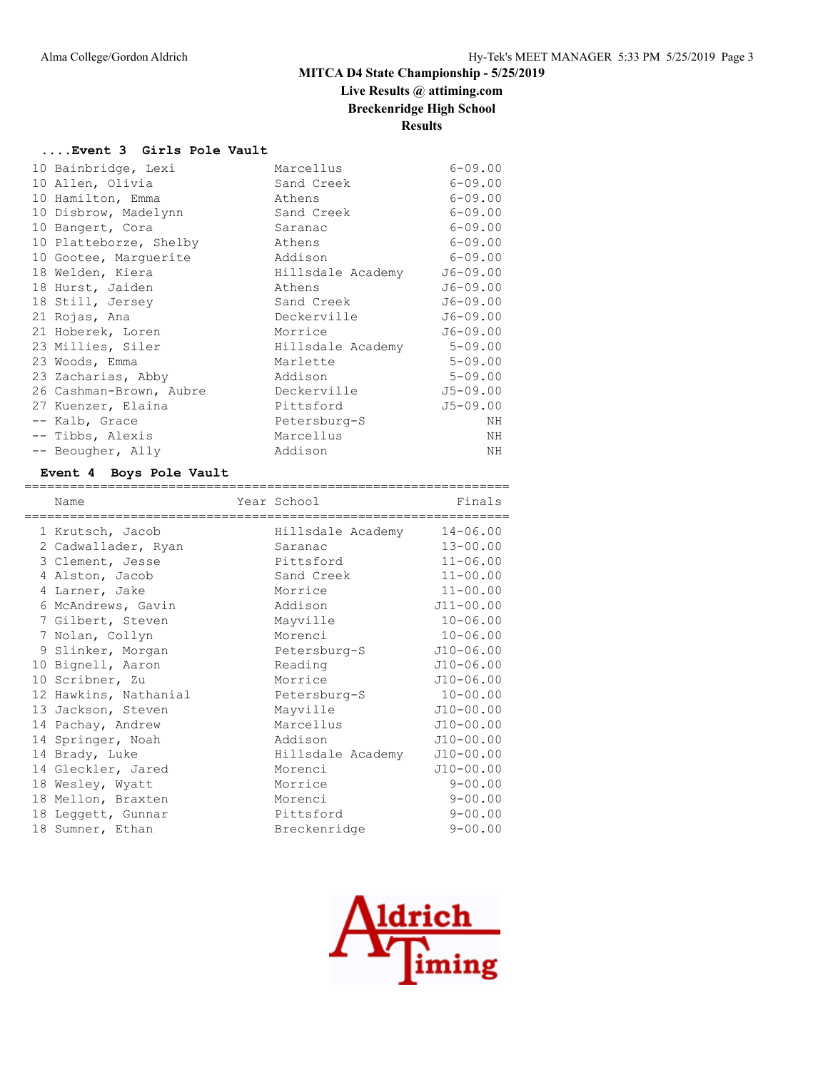# **Live Results @ attiming.com**

**Breckenridge High School**

## **Results**

#### **....Event 3 Girls Pole Vault**

| 10 Bainbridge, Lexi     | Marcellus         | $6 - 09.00$  |
|-------------------------|-------------------|--------------|
| 10 Allen, Olivia        | Sand Creek        | $6 - 09.00$  |
| 10 Hamilton, Emma       | Athens            | $6 - 09.00$  |
| 10 Disbrow, Madelynn    | Sand Creek        | $6 - 09.00$  |
| 10 Bangert, Cora        | Saranac           | $6 - 09.00$  |
| 10 Platteborze, Shelby  | Athens            | $6 - 09.00$  |
| 10 Gootee, Marquerite   | Addison           | $6 - 09.00$  |
| 18 Welden, Kiera        | Hillsdale Academy | $J6 - 09.00$ |
| 18 Hurst, Jaiden        | Athens            | $J6 - 09.00$ |
| 18 Still, Jersey        | Sand Creek        | $J6 - 09.00$ |
| 21 Rojas, Ana           | Deckerville       | $J6 - 09.00$ |
| 21 Hoberek, Loren       | Morrice           | $J6 - 09.00$ |
| 23 Millies, Siler       | Hillsdale Academy | $5 - 09.00$  |
| 23 Woods, Emma          | Marlette          | $5 - 09.00$  |
| 23 Zacharias, Abby      | Addison           | $5 - 09.00$  |
| 26 Cashman-Brown, Aubre | Deckerville       | $J5 - 09.00$ |
| 27 Kuenzer, Elaina      | Pittsford         | $J5 - 09.00$ |
| -- Kalb, Grace          | Petersburg-S      | ΝH           |
| -- Tibbs, Alexis        | Marcellus         | ΝH           |
| -- Beougher, Ally       | Addison           | ΝH           |

#### **Event 4 Boys Pole Vault**

| Name                  | Year School       | Finals        |
|-----------------------|-------------------|---------------|
| 1 Krutsch, Jacob      | Hillsdale Academy | $14 - 06.00$  |
| 2 Cadwallader, Ryan   | Saranac           | $13 - 00.00$  |
| 3 Clement, Jesse      | Pittsford         | $11 - 06.00$  |
| 4 Alston, Jacob       | Sand Creek        | $11 - 00.00$  |
| 4 Larner, Jake        | Morrice           | $11 - 00.00$  |
| 6 McAndrews, Gavin    | Addison           | $J11 - 00.00$ |
| 7 Gilbert, Steven     | Mayville          | $10 - 06.00$  |
| 7 Nolan, Collyn       | Morenci           | $10 - 06.00$  |
| 9 Slinker, Morgan     | Petersburg-S      | $J10-06.00$   |
| 10 Bignell, Aaron     | Reading           | $J10 - 06.00$ |
| 10 Scribner, Zu       | Morrice           | $J10 - 06.00$ |
| 12 Hawkins, Nathanial | Petersburg-S      | $10 - 00.00$  |
| 13 Jackson, Steven    | Mayville          | $J10-00.00$   |
| 14 Pachay, Andrew     | Marcellus         | $J10-00.00$   |
| 14 Springer, Noah     | Addison           | $J10-00.00$   |
| 14 Brady, Luke        | Hillsdale Academy | $J10-00.00$   |
| 14 Gleckler, Jared    | Morenci           | $J10-00.00$   |
| 18 Wesley, Wyatt      | Morrice           | $9 - 00.00$   |
| 18 Mellon, Braxten    | Morenci           | $9 - 00.00$   |
| 18 Leggett, Gunnar    | Pittsford         | $9 - 00.00$   |
| 18 Sumner, Ethan      | Breckenridge      | $9 - 00.00$   |

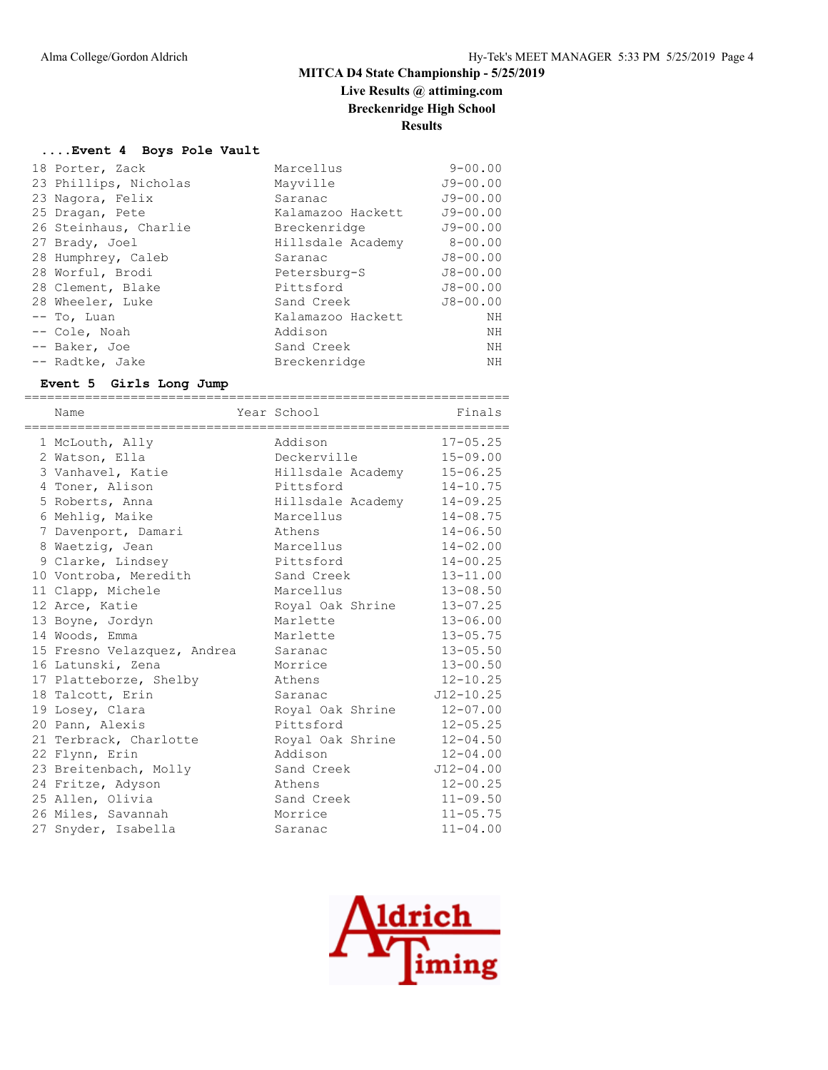**Live Results @ attiming.com**

**Breckenridge High School**

# **Results**

#### **....Event 4 Boys Pole Vault**

| 18 Porter, Zack       | Marcellus         | $9 - 00.00$  |
|-----------------------|-------------------|--------------|
| 23 Phillips, Nicholas | Mayville          | $J9 - 00.00$ |
| 23 Nagora, Felix      | Saranac           | $J9 - 00.00$ |
| 25 Dragan, Pete       | Kalamazoo Hackett | $J9 - 00.00$ |
| 26 Steinhaus, Charlie | Breckenridge      | $J9 - 00.00$ |
| 27 Brady, Joel        | Hillsdale Academy | $8 - 00.00$  |
| 28 Humphrey, Caleb    | Saranac           | $J8 - 00.00$ |
| 28 Worful, Brodi      | Petersburg-S      | $J8 - 00.00$ |
| 28 Clement, Blake     | Pittsford         | $J8 - 00.00$ |
| 28 Wheeler, Luke      | Sand Creek        | $J8 - 00.00$ |
| -- To, Luan           | Kalamazoo Hackett | ΝH           |
| -- Cole, Noah         | Addison           | ΝH           |
| -- Baker, Joe         | Sand Creek        | NH           |
| -- Radtke, Jake       | Breckenridge      | NH           |

#### **Event 5 Girls Long Jump**

| Name                        | Year School       | Finals        |
|-----------------------------|-------------------|---------------|
| 1 McLouth, Ally             | Addison           | $17 - 05.25$  |
| 2 Watson, Ella              | Deckerville       | $15 - 09.00$  |
| 3 Vanhavel, Katie           | Hillsdale Academy | $15 - 06.25$  |
| 4 Toner, Alison             | Pittsford         | $14 - 10.75$  |
| 5 Roberts, Anna             | Hillsdale Academy | $14 - 09.25$  |
| 6 Mehlig, Maike             | Marcellus         | $14 - 08.75$  |
| 7 Davenport, Damari         | Athens            | $14 - 06.50$  |
| 8 Waetzig, Jean             | Marcellus         | $14 - 02.00$  |
| 9 Clarke, Lindsey           | Pittsford         | $14 - 00.25$  |
| 10 Vontroba, Meredith       | Sand Creek        | $13 - 11.00$  |
| 11 Clapp, Michele           | Marcellus         | $13 - 08.50$  |
| 12 Arce, Katie              | Royal Oak Shrine  | $13 - 07.25$  |
| 13 Boyne, Jordyn            | Marlette          | $13 - 06.00$  |
| 14 Woods, Emma              | Marlette          | $13 - 05.75$  |
| 15 Fresno Velazquez, Andrea | Saranac           | $13 - 05.50$  |
| 16 Latunski, Zena           | Morrice           | $13 - 00.50$  |
| 17 Platteborze, Shelby      | Athens            | $12 - 10.25$  |
| 18 Talcott, Erin            | Saranac           | $J12 - 10.25$ |
| 19 Losey, Clara             | Royal Oak Shrine  | $12 - 07.00$  |
| 20 Pann, Alexis             | Pittsford         | $12 - 05.25$  |
| 21 Terbrack, Charlotte      | Royal Oak Shrine  | $12 - 04.50$  |
| 22 Flynn, Erin              | Addison           | $12 - 04.00$  |
| 23 Breitenbach, Molly       | Sand Creek        | $J12 - 04.00$ |
| 24 Fritze, Adyson           | Athens            | $12 - 00.25$  |
| 25 Allen, Olivia            | Sand Creek        | $11 - 09.50$  |
| 26 Miles, Savannah          | Morrice           | $11 - 05.75$  |
| 27 Snyder, Isabella         | Saranac           | $11 - 04.00$  |

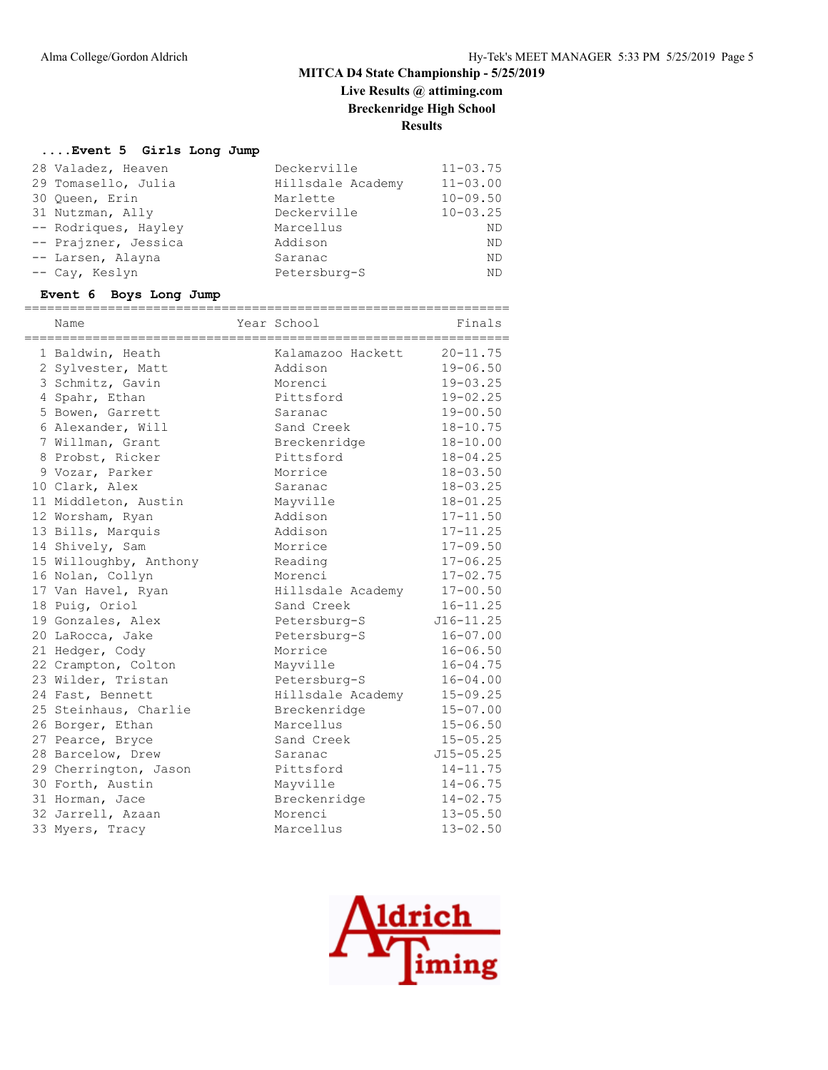# **Live Results @ attiming.com**

**Breckenridge High School**

# **Results**

## **....Event 5 Girls Long Jump**

| 28 Valadez, Heaven   | Deckerville       | $11 - 03.75$ |
|----------------------|-------------------|--------------|
| 29 Tomasello, Julia  | Hillsdale Academy | $11 - 03.00$ |
| 30 Oueen, Erin       | Marlette          | $10 - 09.50$ |
| 31 Nutzman, Ally     | Deckerville       | $10 - 03.25$ |
| -- Rodriques, Hayley | Marcellus         | ND           |
| -- Prajzner, Jessica | Addison           | ND           |
| -- Larsen, Alayna    | Saranac           | ND           |
| -- Cay, Keslyn       | Petersburg-S      | ND           |

#### **Event 6 Boys Long Jump**

| Name                   | Year School       | Finals        |
|------------------------|-------------------|---------------|
| 1 Baldwin, Heath       | Kalamazoo Hackett | $20 - 11.75$  |
| 2 Sylvester, Matt      | Addison           | $19 - 06.50$  |
| 3 Schmitz, Gavin       | Morenci           | $19 - 03.25$  |
| 4 Spahr, Ethan         | Pittsford         | $19 - 02.25$  |
| 5 Bowen, Garrett       | Saranac           | $19 - 00.50$  |
| 6 Alexander, Will      | Sand Creek        | $18 - 10.75$  |
| 7 Willman, Grant       | Breckenridge      | $18 - 10.00$  |
| 8 Probst, Ricker       | Pittsford         | $18 - 04.25$  |
| 9 Vozar, Parker        | Morrice           | $18 - 03.50$  |
| 10 Clark, Alex         | Saranac           | $18 - 03.25$  |
| 11 Middleton, Austin   | Mayville          | $18 - 01.25$  |
| 12 Worsham, Ryan       | Addison           | $17 - 11.50$  |
| 13 Bills, Marquis      | Addison           | $17 - 11.25$  |
| 14 Shively, Sam        | Morrice           | $17 - 09.50$  |
| 15 Willoughby, Anthony | Reading           | $17 - 06.25$  |
| 16 Nolan, Collyn       | Morenci           | $17 - 02.75$  |
| 17 Van Havel, Ryan     | Hillsdale Academy | $17 - 00.50$  |
| 18 Puig, Oriol         | Sand Creek        | $16 - 11.25$  |
| 19 Gonzales, Alex      | Petersburg-S      | $J16 - 11.25$ |
| 20 LaRocca, Jake       | Petersburg-S      | $16 - 07.00$  |
| 21 Hedger, Cody        | Morrice           | $16 - 06.50$  |
| 22 Crampton, Colton    | Mayville          | $16 - 04.75$  |
| 23 Wilder, Tristan     | Petersburg-S      | $16 - 04.00$  |
| 24 Fast, Bennett       | Hillsdale Academy | $15 - 09.25$  |
| 25 Steinhaus, Charlie  | Breckenridge      | $15 - 07.00$  |
| 26 Borger, Ethan       | Marcellus         | $15 - 06.50$  |
| 27 Pearce, Bryce       | Sand Creek        | $15 - 05.25$  |
| 28 Barcelow, Drew      | Saranac           | $J15 - 05.25$ |
| 29 Cherrington, Jason  | Pittsford         | $14 - 11.75$  |
| 30 Forth, Austin       | Mayville          | $14 - 06.75$  |
| 31 Horman, Jace        | Breckenridge      | $14 - 02.75$  |
| 32 Jarrell, Azaan      | Morenci           | $13 - 05.50$  |
| 33 Myers, Tracy        | Marcellus         | $13 - 02.50$  |

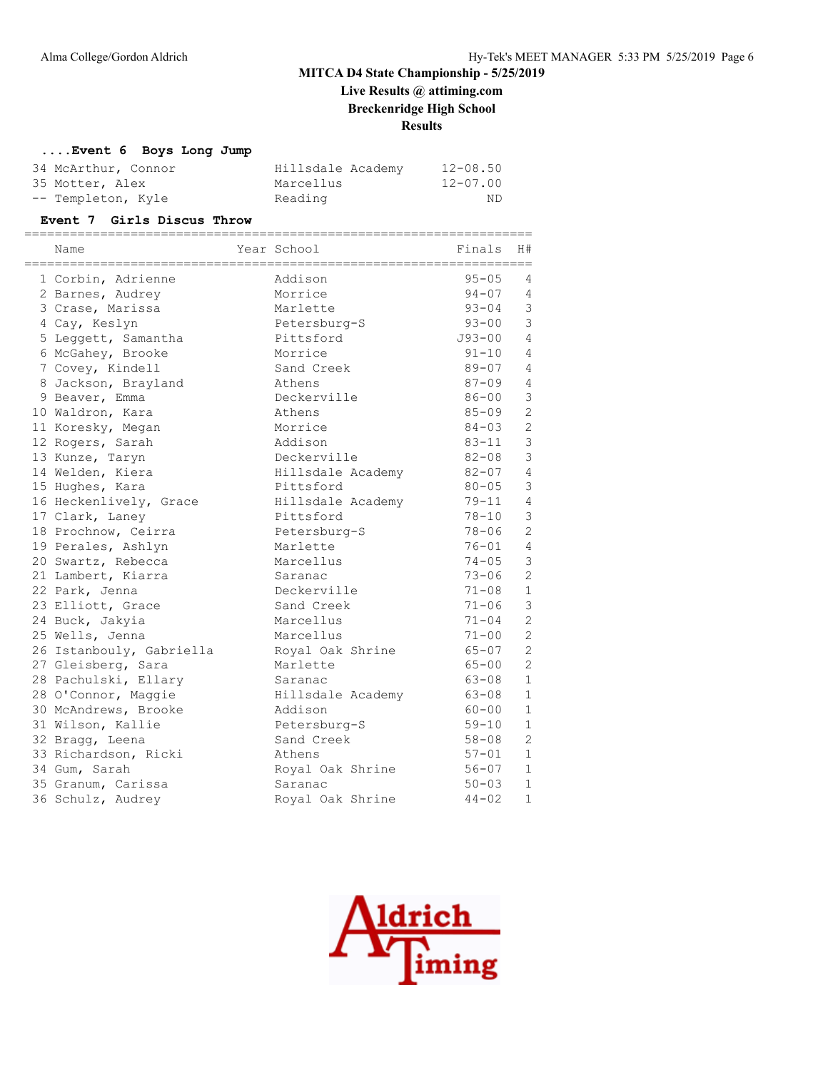**Live Results @ attiming.com Breckenridge High School**

**Results**

#### **....Event 6 Boys Long Jump**

| 34 McArthur, Connor | Hillsdale Academy | $12 - 08.50$ |
|---------------------|-------------------|--------------|
| 35 Motter, Alex     | Marcellus         | 12-07.00     |
| -- Templeton, Kyle  | Reading           | ND.          |

#### **Event 7 Girls Discus Throw**

| Name<br>------------------------------------ | Year School<br>-------------------------------- | ===================<br>Finals | H#             |
|----------------------------------------------|-------------------------------------------------|-------------------------------|----------------|
| 1 Corbin, Adrienne                           | Addison                                         | $95 - 05$                     | 4              |
| 2 Barnes, Audrey                             | Morrice                                         | $94 - 07$                     | $\overline{4}$ |
| 3 Crase, Marissa                             | Marlette                                        | $93 - 04$                     | $\mathcal{S}$  |
| 4 Cay, Keslyn                                | Petersburg-S                                    | $93 - 00$                     | $\mathfrak{Z}$ |
| 5 Leggett, Samantha                          | Pittsford                                       | $J93 - 00$                    | $\overline{4}$ |
| 6 McGahey, Brooke                            | Morrice                                         | $91 - 10$                     | $\overline{4}$ |
| 7 Covey, Kindell                             | Sand Creek                                      | $89 - 07$                     | $\overline{4}$ |
| 8 Jackson, Brayland                          | Athens                                          | $87 - 09$                     | $\overline{4}$ |
| 9 Beaver, Emma                               | Deckerville                                     | $86 - 00$                     | $\mathfrak{Z}$ |
| 10 Waldron, Kara                             | Athens                                          | $85 - 09$                     | $\overline{c}$ |
| 11 Koresky, Megan                            | Morrice                                         | $84 - 03$                     | $\overline{c}$ |
| 12 Rogers, Sarah                             | Addison                                         | $83 - 11$                     | $\mathfrak{Z}$ |
| 13 Kunze, Taryn                              | Deckerville                                     | $82 - 08$                     | $\mathfrak{Z}$ |
| 14 Welden, Kiera                             | Hillsdale Academy                               | $82 - 07$                     | $\overline{4}$ |
| 15 Hughes, Kara                              | Pittsford                                       | $80 - 05$                     | $\mathcal{S}$  |
| 16 Heckenlively, Grace                       | Hillsdale Academy                               | $79 - 11$                     | $\overline{4}$ |
| 17 Clark, Laney                              | Pittsford                                       | $78 - 10$                     | $\mathcal{E}$  |
| 18 Prochnow, Ceirra                          | Petersburg-S                                    | $78 - 06$                     | $\overline{c}$ |
| 19 Perales, Ashlyn                           | Marlette                                        | $76 - 01$                     | $\overline{4}$ |
| 20 Swartz, Rebecca                           | Marcellus                                       | $74 - 05$                     | 3              |
| 21 Lambert, Kiarra                           | Saranac                                         | $73 - 06$                     | $\overline{2}$ |
| 22 Park, Jenna                               | Deckerville                                     | $71 - 08$                     | $\mathbf{1}$   |
| 23 Elliott, Grace                            | Sand Creek                                      | $71 - 06$                     | $\mathcal{S}$  |
| 24 Buck, Jakyia                              | Marcellus                                       | $71 - 04$                     | $\overline{2}$ |
| 25 Wells, Jenna                              | Marcellus                                       | $71 - 00$                     | $\overline{c}$ |
| 26 Istanbouly, Gabriella                     | Royal Oak Shrine                                | $65 - 07$                     | $\overline{c}$ |
| 27 Gleisberg, Sara                           | Marlette                                        | $65 - 00$                     | $\overline{c}$ |
| 28 Pachulski, Ellary                         | Saranac                                         | $63 - 08$                     | $\mathbf{1}$   |
| 28 O'Connor, Maggie                          | Hillsdale Academy                               | 63-08                         | $\mathbf{1}$   |
| 30 McAndrews, Brooke                         | Addison                                         | $60 - 00$                     | $\mathbf{1}$   |
| 31 Wilson, Kallie                            | Petersburg-S                                    | $59 - 10$                     | $\mathbf{1}$   |
| 32 Bragg, Leena                              | Sand Creek                                      | $58 - 08$                     | $\overline{c}$ |
| 33 Richardson, Ricki                         | Athens                                          | $57 - 01$                     | $\mathbf{1}$   |
| 34 Gum, Sarah                                | Royal Oak Shrine                                | $56 - 07$                     | $\mathbf{1}$   |
| 35 Granum, Carissa                           | Saranac                                         | $50 - 03$                     | $\mathbf{1}$   |
| 36 Schulz, Audrey                            | Royal Oak Shrine                                | $44 - 02$                     | $\mathbf{1}$   |

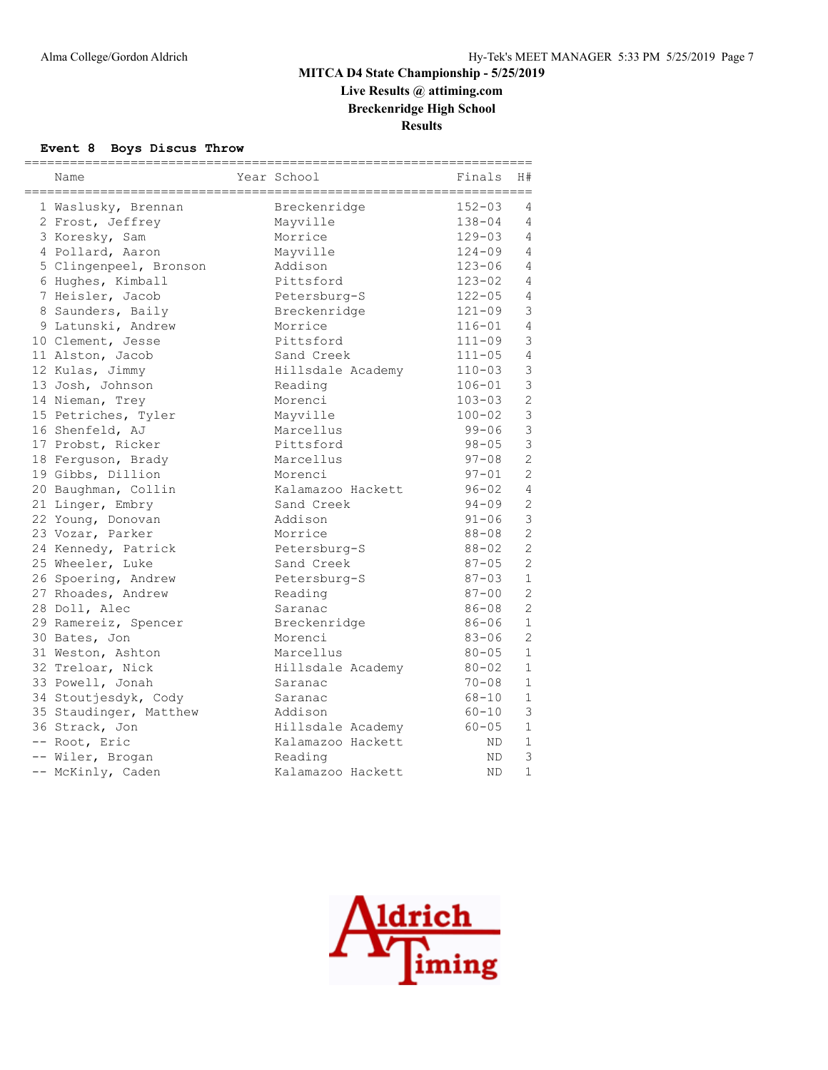**Live Results @ attiming.com Breckenridge High School**

**Results**

#### **Event 8 Boys Discus Throw**

| Name                   | Year School<br>------------------------- | Finals     | H#             |
|------------------------|------------------------------------------|------------|----------------|
| 1 Waslusky, Brennan    | Breckenridge                             | $152 - 03$ | 4              |
| 2 Frost, Jeffrey       | Mayville                                 | $138 - 04$ | 4              |
| 3 Koresky, Sam         | Morrice                                  | $129 - 03$ | 4              |
| 4 Pollard, Aaron       | Mayville                                 | $124 - 09$ | 4              |
| 5 Clingenpeel, Bronson | Addison                                  | $123 - 06$ | 4              |
| 6 Hughes, Kimball      | Pittsford                                | $123 - 02$ | 4              |
| 7 Heisler, Jacob       | Petersburg-S                             | $122 - 05$ | $\overline{4}$ |
| 8 Saunders, Baily      | Breckenridge                             | $121 - 09$ | 3              |
| 9 Latunski, Andrew     | Morrice                                  | $116 - 01$ | $\overline{4}$ |
| 10 Clement, Jesse      | Pittsford                                | $111 - 09$ | $\mathfrak{Z}$ |
| 11 Alston, Jacob       | Sand Creek                               | $111 - 05$ | $\overline{4}$ |
| 12 Kulas, Jimmy        | Hillsdale Academy                        | $110 - 03$ | $\mathcal{S}$  |
| 13 Josh, Johnson       | Reading                                  | $106 - 01$ | 3              |
| 14 Nieman, Trey        | Morenci                                  | $103 - 03$ | $\mathbf{2}$   |
| 15 Petriches, Tyler    | Mayville                                 | $100 - 02$ | $\mathbf{3}$   |
| 16 Shenfeld, AJ        | Marcellus                                | $99 - 06$  | $\mathfrak{Z}$ |
| 17 Probst, Ricker      | Pittsford                                | $98 - 05$  | 3              |
| 18 Ferguson, Brady     | Marcellus                                | $97 - 08$  | $\overline{2}$ |
| 19 Gibbs, Dillion      | Morenci                                  | $97 - 01$  | $\overline{c}$ |
| 20 Baughman, Collin    | Kalamazoo Hackett                        | $96 - 02$  | $\overline{4}$ |
| 21 Linger, Embry       | Sand Creek                               | $94 - 09$  | $\overline{c}$ |
| 22 Young, Donovan      | Addison                                  | $91 - 06$  | 3              |
| 23 Vozar, Parker       | Morrice                                  | $88 - 08$  | $\overline{c}$ |
| 24 Kennedy, Patrick    | Petersburg-S                             | $88 - 02$  | $\overline{c}$ |
| 25 Wheeler, Luke       | Sand Creek                               | $87 - 05$  | $\overline{c}$ |
| 26 Spoering, Andrew    | Petersburg-S                             | $87 - 03$  | $\mathbf{1}$   |
| 27 Rhoades, Andrew     | Reading                                  | $87 - 00$  | $\overline{2}$ |
| 28 Doll, Alec          | Saranac                                  | $86 - 08$  | $\overline{2}$ |
| 29 Ramereiz, Spencer   | Breckenridge                             | $86 - 06$  | $\mathbf{1}$   |
| 30 Bates, Jon          | Morenci                                  | $83 - 06$  | $\overline{2}$ |
| 31 Weston, Ashton      | Marcellus                                | $80 - 05$  | $\mathbf{1}$   |
| 32 Treloar, Nick       | Hillsdale Academy                        | 80-02      | $\mathbf{1}$   |
| 33 Powell, Jonah       | Saranac                                  | $70 - 08$  | $\mathbf{1}$   |
| 34 Stoutjesdyk, Cody   | Saranac                                  | $68 - 10$  | $\mathbf{1}$   |
| 35 Staudinger, Matthew | Addison                                  | $60 - 10$  | $\mathfrak{Z}$ |
| 36 Strack, Jon         | Hillsdale Academy                        | $60 - 05$  | $\mathbf{1}$   |
| -- Root, Eric          | Kalamazoo Hackett                        | ND.        | $\mathbf{1}$   |
| -- Wiler, Brogan       | Reading                                  | ND         | 3              |
| -- McKinly, Caden      | Kalamazoo Hackett                        | <b>ND</b>  | $\mathbf{1}$   |

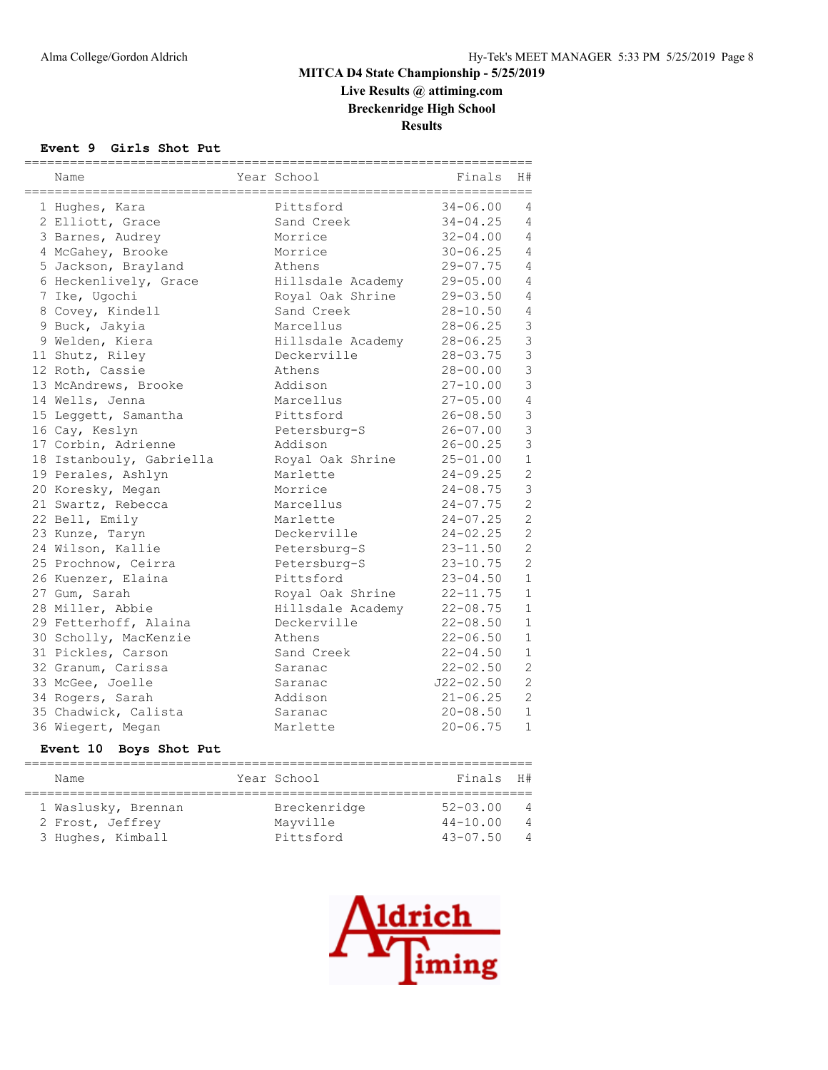**Live Results @ attiming.com Breckenridge High School**

**Results**

#### **Event 9 Girls Shot Put**

| Name                             | Year School       | Finals<br>------------------------------ | H#             |
|----------------------------------|-------------------|------------------------------------------|----------------|
| 1 Hughes, Kara                   | Pittsford         | $34 - 06.00$                             | 4              |
| 2 Elliott, Grace                 | Sand Creek        | $34 - 04.25$                             | 4              |
| 3 Barnes, Audrey                 | Morrice           | $32 - 04.00$                             | 4              |
| 4 McGahey, Brooke                | Morrice           | $30 - 06.25$                             | $\overline{4}$ |
| 5 Jackson, Brayland              | Athens            | $29 - 07.75$                             | $\overline{4}$ |
| 6 Heckenlively, Grace            | Hillsdale Academy | $29 - 05.00$                             | $\overline{4}$ |
| 7 Ike, Ugochi                    | Royal Oak Shrine  | $29 - 03.50$                             | $\overline{4}$ |
| 8 Covey, Kindell                 | Sand Creek        | $28 - 10.50$                             | $\overline{4}$ |
| 9 Buck, Jakyia                   | Marcellus         | $28 - 06.25$                             | 3              |
| 9 Welden, Kiera                  | Hillsdale Academy | $28 - 06.25$                             | $\mathbf{3}$   |
| 11 Shutz, Riley                  | Deckerville       | $28 - 03.75$                             | 3              |
| 12 Roth, Cassie                  | Athens            | $28 - 00.00$                             | $\overline{3}$ |
| 13 McAndrews, Brooke             | Addison           | $27 - 10.00$                             | $\overline{3}$ |
| 14 Wells, Jenna                  | Marcellus         | $27 - 05.00$                             | $\overline{4}$ |
| 15 Leggett, Samantha             | Pittsford         | $26 - 08.50$                             | 3              |
| 16 Cay, Keslyn                   | Petersburg-S      | $26 - 07.00$                             | 3              |
| 17 Corbin, Adrienne              | Addison           | $26 - 00.25$                             | 3              |
| 18 Istanbouly, Gabriella         | Royal Oak Shrine  | $25 - 01.00$                             | $\mathbf{1}$   |
| 19 Perales, Ashlyn               | Marlette          | $24 - 09.25$                             | $\overline{c}$ |
| 20 Koresky, Megan                | Morrice           | $24 - 08.75$                             | 3              |
| 21 Swartz, Rebecca               | Marcellus         | $24 - 07.75$                             | $\overline{c}$ |
| 22 Bell, Emily                   | Marlette          | $24 - 07.25$                             | $\overline{c}$ |
| 23 Kunze, Taryn                  | Deckerville       | $24 - 02.25$                             | $\overline{c}$ |
| 24 Wilson, Kallie                | Petersburg-S      | $23 - 11.50$                             | $\overline{2}$ |
| 25 Prochnow, Ceirra              | Petersburg-S      | $23 - 10.75$                             | $\overline{c}$ |
| 26 Kuenzer, Elaina               | Pittsford         | $23 - 04.50$                             | $\mathbf{1}$   |
| 27 Gum, Sarah                    | Royal Oak Shrine  | $22 - 11.75$                             | $\mathbf{1}$   |
| 28 Miller, Abbie                 | Hillsdale Academy | $22 - 08.75$                             | $\mathbf{1}$   |
| 29 Fetterhoff, Alaina            | Deckerville       | $22 - 08.50$                             | $\mathbf{1}$   |
| 30 Scholly, MacKenzie            | Athens            | $22 - 06.50$                             | $\mathbf{1}$   |
| 31 Pickles, Carson               | Sand Creek        | $22 - 04.50$                             | $\mathbf{1}$   |
| 32 Granum, Carissa               | Saranac           | $22 - 02.50$                             | $\overline{c}$ |
| 33 McGee, Joelle                 | Saranac           | $J22 - 02.50$                            | $\overline{2}$ |
| 34 Rogers, Sarah                 | Addison           | $21 - 06.25$                             | $\overline{2}$ |
| 35 Chadwick, Calista             | Saranac           | $20 - 08.50$                             | $\mathbf{1}$   |
| 36 Wiegert, Megan                | Marlette          | $20 - 06.75$                             | $\mathbf{1}$   |
| <b>Event 10</b><br>Boys Shot Put |                   |                                          |                |

| Name                                                         | Year School                           | Finals H#                                    |                                                    |
|--------------------------------------------------------------|---------------------------------------|----------------------------------------------|----------------------------------------------------|
| 1 Waslusky, Brennan<br>2 Frost, Jeffrey<br>3 Hughes, Kimball | Breckenridge<br>Mayville<br>Pittsford | $52 - 03.00$<br>$44 - 10.00$<br>$43 - 07.50$ | $\overline{4}$<br>$\overline{4}$<br>$\overline{4}$ |

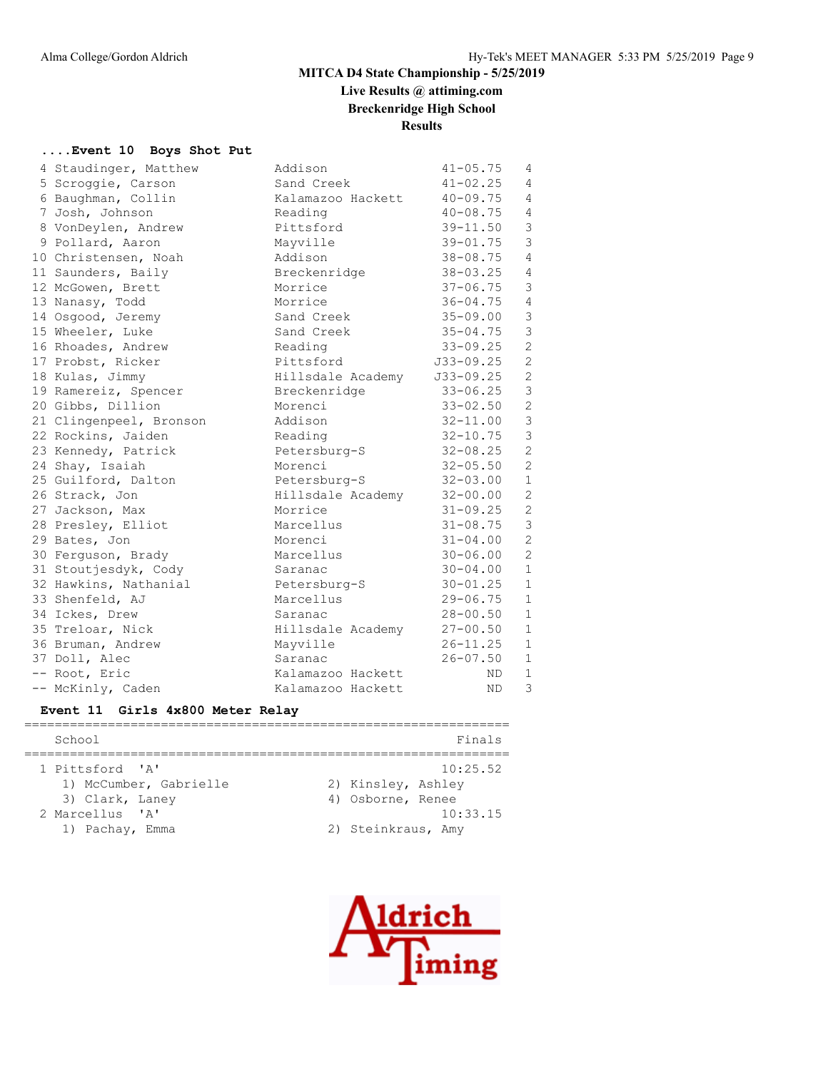# **Live Results @ attiming.com Breckenridge High School**

# **Results**

#### **....Event 10 Boys Shot Put**

| 4 Staudinger, Matthew   | Addison                     | $41 - 05.75$ | 4              |
|-------------------------|-----------------------------|--------------|----------------|
| 5 Scroggie, Carson      | Sand Creek                  | $41 - 02.25$ | $\overline{4}$ |
| 6 Baughman, Collin      | Kalamazoo Hackett           | $40 - 09.75$ | $\overline{4}$ |
| 7 Josh, Johnson         | Reading                     | $40 - 08.75$ | $\overline{4}$ |
| 8 VonDeylen, Andrew     | Pittsford                   | 39-11.50     | $\mathfrak{Z}$ |
| 9 Pollard, Aaron        | Mayville                    | $39 - 01.75$ | $\mathfrak{Z}$ |
| 10 Christensen, Noah    | Addison                     | 38-08.75     | $\overline{4}$ |
| 11 Saunders, Baily      | Breckenridge                | $38 - 03.25$ | 4              |
| 12 McGowen, Brett       | Morrice                     | $37 - 06.75$ | 3              |
| 13 Nanasy, Todd         | Morrice                     | $36 - 04.75$ | $\overline{4}$ |
| 14 Osgood, Jeremy       | Sand Creek                  | 35-09.00     | $\mathsf 3$    |
| 15 Wheeler, Luke        | Sand Creek                  | $35 - 04.75$ | $\mathfrak{Z}$ |
| 16 Rhoades, Andrew      | Reading                     | $33 - 09.25$ | $\overline{c}$ |
| 17 Probst, Ricker       | Pittsford                   | J33-09.25    | $\mathbf{2}$   |
| 18 Kulas, Jimmy         | Hillsdale Academy J33-09.25 |              | 2              |
| 19 Ramereiz, Spencer    | Breckenridge                | $33 - 06.25$ | $\mathfrak{Z}$ |
| 20 Gibbs, Dillion       | Morenci                     | $33 - 02.50$ | $\overline{c}$ |
| 21 Clingenpeel, Bronson | Addison                     | $32 - 11.00$ | $\mathcal{E}$  |
| 22 Rockins, Jaiden      | Reading                     | $32 - 10.75$ | $\mathfrak{Z}$ |
| 23 Kennedy, Patrick     | Petersburg-S                | $32 - 08.25$ | 2              |
| 24 Shay, Isaiah         | Morenci                     | $32 - 05.50$ | 2              |
| 25 Guilford, Dalton     | Petersburg-S                | $32 - 03.00$ | $\mathbf{1}$   |
| 26 Strack, Jon          | Hillsdale Academy 32-00.00  |              | $\mathbf{2}$   |
| 27 Jackson, Max         | Morrice                     | $31 - 09.25$ | $\mathbf{2}$   |
| 28 Presley, Elliot      | Marcellus                   | $31 - 08.75$ | 3              |
| 29 Bates, Jon           | Morenci                     | $31 - 04.00$ | $\overline{2}$ |
| 30 Ferquson, Brady      | Marcellus                   | $30 - 06.00$ | 2              |
| 31 Stoutjesdyk, Cody    | Saranac                     | $30 - 04.00$ | $\mathbf{1}$   |
| 32 Hawkins, Nathanial   | Petersburg-S                | $30 - 01.25$ | $\mathbf{1}$   |
| 33 Shenfeld, AJ         | Marcellus                   | $29 - 06.75$ | $\mathbf{1}$   |
| 34 Ickes, Drew          | Saranac                     | 28-00.50     | $\mathbf{1}$   |
| 35 Treloar, Nick        | Hillsdale Academy           | $27 - 00.50$ | $\mathbf{1}$   |
| 36 Bruman, Andrew       | Mayville                    | $26 - 11.25$ | $\mathbf{1}$   |
| 37 Doll, Alec           | Saranac                     | $26 - 07.50$ | $\mathbf{1}$   |
| -- Root, Eric           | Kalamazoo Hackett           | ND           | $\mathbf{1}$   |
| -- McKinly, Caden       | Kalamazoo Hackett           | ND.          | 3              |

# **Event 11 Girls 4x800 Meter Relay**

| School                 | Finals             |
|------------------------|--------------------|
|                        |                    |
| 1 Pittsford 'A'        | 10:25.52           |
| 1) McCumber, Gabrielle | 2) Kinsley, Ashley |
| 3) Clark, Laney        | 4) Osborne, Renee  |
| 2 Marcellus 'A'        | 10:33.15           |
| 1) Pachay, Emma        | 2) Steinkraus, Amy |

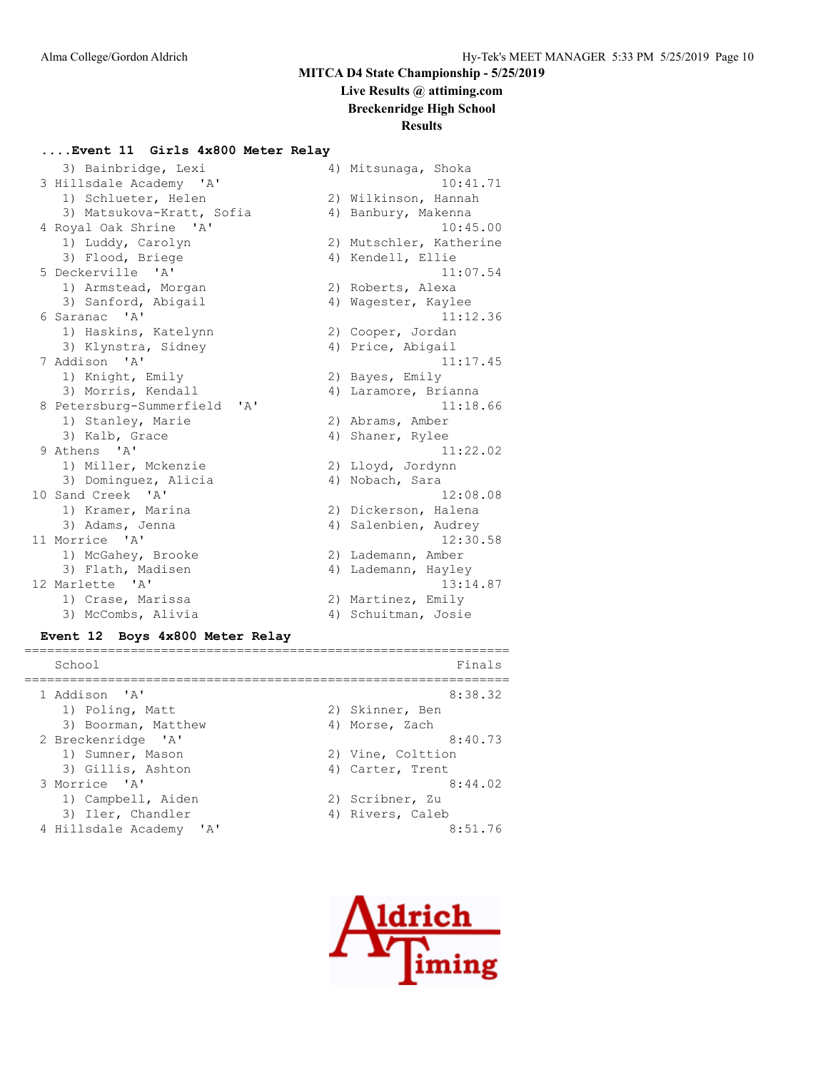# **Live Results @ attiming.com**

**Breckenridge High School**

# **Results**

#### **....Event 11 Girls 4x800 Meter Relay**

| 3) Bainbridge, Lexi                        | 4) Mitsunaga, Shoka     |
|--------------------------------------------|-------------------------|
| 3 Hillsdale Academy 'A'                    | 10:41.71                |
| 1) Schlueter, Helen                        | 2) Wilkinson, Hannah    |
| 3) Matsukova-Kratt, Sofia                  | 4) Banbury, Makenna     |
| 4 Royal Oak Shrine 'A'                     | 10:45.00                |
| 1) Luddy, Carolyn                          | 2) Mutschler, Katherine |
| 3) Flood, Briege                           | 4) Kendell, Ellie       |
| 5 Deckerville 'A'                          | 11:07.54                |
| 1) Armstead, Morgan                        | 2) Roberts, Alexa       |
| 3) Sanford, Abigail                        | 4) Wagester, Kaylee     |
| 6 Saranac 'A'                              | 11:12.36                |
| 1) Haskins, Katelynn                       | 2) Cooper, Jordan       |
| 3) Klynstra, Sidney                        | 4) Price, Abigail       |
| 7 Addison 'A'                              | 11:17.45                |
| 1) Knight, Emily                           | 2) Bayes, Emily         |
| 3) Morris, Kendall                         | 4) Laramore, Brianna    |
| 8 Petersburg-Summerfield<br>' A'           | 11:18.66                |
| 1) Stanley, Marie                          | 2) Abrams, Amber        |
| 3) Kalb, Grace                             | 4) Shaner, Rylee        |
| 9 Athens 'A'                               | 11:22.02                |
| 1) Miller, Mckenzie                        | 2) Lloyd, Jordynn       |
| 3) Dominguez, Alicia                       | 4) Nobach, Sara         |
| 10 Sand Creek<br>$^{\prime}$ A $^{\prime}$ | 12:08.08                |
| 1) Kramer, Marina                          | 2) Dickerson, Halena    |
| 3) Adams, Jenna                            | 4) Salenbien, Audrey    |
| 11 Morrice 'A'                             | 12:30.58                |
| 1) McGahey, Brooke                         | 2) Lademann, Amber      |
| 3) Flath, Madisen                          | 4) Lademann, Hayley     |
| 12 Marlette 'A'                            | 13:14.87                |
| 1) Crase, Marissa                          | 2) Martinez, Emily      |
| 3) McCombs, Alivia                         | 4) Schuitman, Josie     |

#### **Event 12 Boys 4x800 Meter Relay**

| School                  | Finals            |
|-------------------------|-------------------|
| 1 Addison 'A'           | 8:38.32           |
| 1) Poling, Matt         | 2) Skinner, Ben   |
| 3) Boorman, Matthew     | 4) Morse, Zach    |
| 2 Breckenridge 'A'      | 8:40.73           |
| 1) Sumner, Mason        | 2) Vine, Colttion |
| 3) Gillis, Ashton       | 4) Carter, Trent  |
| 3 Morrice 'A'           | 8:44.02           |
| 1) Campbell, Aiden      | 2) Scribner, Zu   |
| 3) Iler, Chandler       | 4) Rivers, Caleb  |
| 4 Hillsdale Academy 'A' | 8:51.76           |

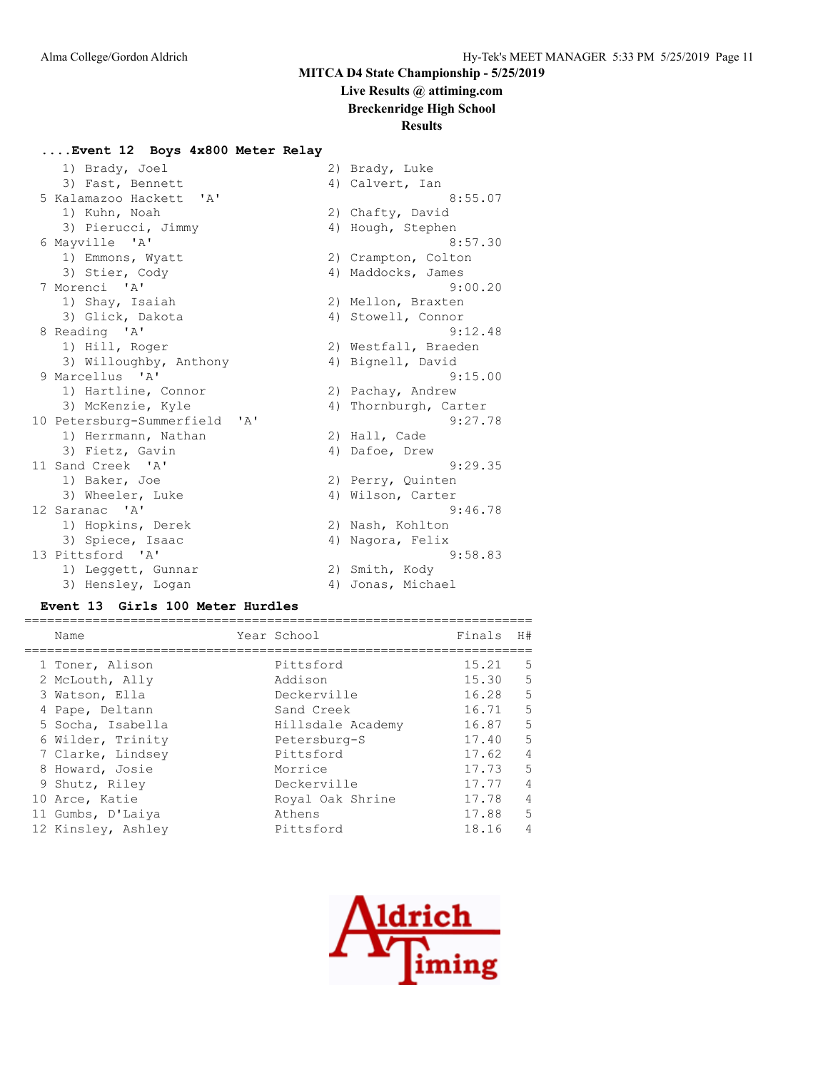# **Live Results @ attiming.com**

**Breckenridge High School**

# **Results**

#### **....Event 12 Boys 4x800 Meter Relay**

| 1) Brady, Joel                                   | 2) Brady, Luke        |
|--------------------------------------------------|-----------------------|
| 3) Fast, Bennett                                 | 4) Calvert, Ian       |
| 5 Kalamazoo Hackett<br>$^{\prime}$ A $^{\prime}$ | 8:55.07               |
| 1) Kuhn, Noah                                    | 2) Chafty, David      |
| 3) Pierucci, Jimmy                               | 4) Hough, Stephen     |
| 6 Mayville 'A'                                   | 8:57.30               |
| 1) Emmons, Wyatt                                 | 2) Crampton, Colton   |
| 3) Stier, Cody                                   | 4) Maddocks, James    |
| 7 Morenci 'A'                                    | 9:00.20               |
| 1) Shay, Isaiah                                  | 2) Mellon, Braxten    |
| 3) Glick, Dakota                                 | 4) Stowell, Connor    |
| 8 Reading 'A'                                    | 9:12.48               |
| 1) Hill, Roger                                   | 2) Westfall, Braeden  |
| 3) Willoughby, Anthony                           | 4) Bignell, David     |
| 9 Marcellus 'A'                                  | 9:15.00               |
| 1) Hartline, Connor                              | 2) Pachay, Andrew     |
| 3) McKenzie, Kyle                                | 4) Thornburgh, Carter |
| 10 Petersburg-Summerfield<br>$\mathsf{A}$        | 9:27.78               |
| 1) Herrmann, Nathan                              | 2) Hall, Cade         |
| 3) Fietz, Gavin                                  | 4) Dafoe, Drew        |
| 11 Sand Creek 'A'                                | 9:29.35               |
| 1) Baker, Joe                                    | 2) Perry, Quinten     |
| 3) Wheeler, Luke                                 | 4) Wilson, Carter     |
| 12 Saranac 'A'                                   | 9:46.78               |
| 1) Hopkins, Derek                                | 2) Nash, Kohlton      |
| 3) Spiece, Isaac                                 | 4) Nagora, Felix      |
| 13 Pittsford 'A'                                 | 9:58.83               |
| 1) Leggett, Gunnar                               | 2) Smith, Kody        |
| 3) Hensley, Logan                                | 4) Jonas, Michael     |

#### **Event 13 Girls 100 Meter Hurdles**

| Name               | Year School       | Finals | H#             |
|--------------------|-------------------|--------|----------------|
|                    |                   |        |                |
| 1 Toner, Alison    | Pittsford         | 15.21  | .5             |
| 2 McLouth, Ally    | Addison           | 15.30  | .5             |
| 3 Watson, Ella     | Deckerville       | 16.28  | 5              |
| 4 Pape, Deltann    | Sand Creek        | 16.71  | 5              |
| 5 Socha, Isabella  | Hillsdale Academy | 16.87  | 5              |
| 6 Wilder, Trinity  | Petersburg-S      | 17.40  | 5              |
| 7 Clarke, Lindsey  | Pittsford         | 17.62  | 4              |
| 8 Howard, Josie    | Morrice           | 17.73  | 5              |
| 9 Shutz, Riley     | Deckerville       | 17.77  | $\overline{4}$ |
| 10 Arce, Katie     | Royal Oak Shrine  | 17.78  | $\overline{4}$ |
| 11 Gumbs, D'Laiya  | Athens            | 17.88  | 5              |
| 12 Kinsley, Ashley | Pittsford         | 18.16  | 4              |
|                    |                   |        |                |

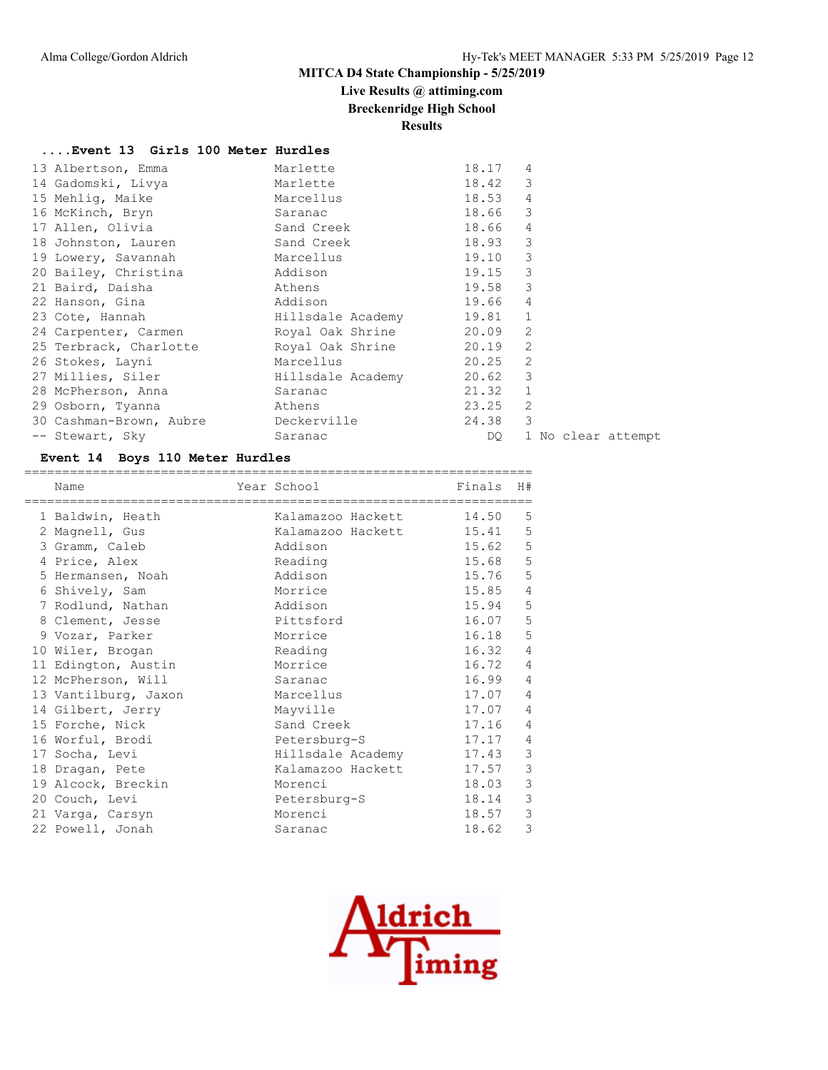# **Live Results @ attiming.com**

**Breckenridge High School**

**Results**

#### **....Event 13 Girls 100 Meter Hurdles**

| 13 Albertson, Emma                                 | Marlette          | 18.17     | 4              |                    |
|----------------------------------------------------|-------------------|-----------|----------------|--------------------|
| 14 Gadomski, Livya                                 | Marlette          | 18.42     | 3              |                    |
| 15 Mehlig, Maike                                   | Marcellus         | 18.53     | $\overline{4}$ |                    |
| 16 McKinch, Bryn                                   | Saranac           | 18.66 3   |                |                    |
| 17 Allen, Olivia                                   | Sand Creek        | 18.66     | 4              |                    |
| 18 Johnston, Lauren                                | Sand Creek        | 18.93     | 3              |                    |
| 19 Lowery, Savannah                                | Marcellus         | 19.10     | 3              |                    |
| 20 Bailey, Christina                               | Addison           | 19.15     | 3              |                    |
| 21 Baird, Daisha                                   | Athens            | 19.58     | 3              |                    |
| 22 Hanson, Gina                                    | Addison           | 19.66     | $\overline{4}$ |                    |
| 23 Cote, Hannah                                    | Hillsdale Academy | $19.81$ 1 |                |                    |
| 24 Carpenter, Carmen The Royal Oak Shrine          |                   | 20.09     | 2              |                    |
| 25 Terbrack, Charlotte            Royal Oak Shrine |                   | 20.19     | 2              |                    |
| 26 Stokes, Layni                                   | Marcellus         | 20.25     | 2              |                    |
| 27 Millies, Siler                                  | Hillsdale Academy | 20.62 3   |                |                    |
| 28 McPherson, Anna                                 | Saranac           | 21.32     | $\mathbf{1}$   |                    |
| 29 Osborn, Tyanna                                  | Athens            | 23.25     | 2              |                    |
| 30 Cashman-Brown, Aubre beckerville                |                   | 24.38     | 3              |                    |
| -- Stewart, Sky                                    | Saranac           | DQ.       |                | 1 No clear attempt |
|                                                    |                   |           |                |                    |

#### **Event 14 Boys 110 Meter Hurdles**

| Name                 | Year School       | Finals | H#             |
|----------------------|-------------------|--------|----------------|
| 1 Baldwin, Heath     | Kalamazoo Hackett | 14.50  | 5              |
| 2 Magnell, Gus       | Kalamazoo Hackett | 15.41  | 5              |
| 3 Gramm, Caleb       | Addison           | 15.62  | 5              |
| 4 Price, Alex        | Reading           | 15.68  | 5              |
| 5 Hermansen, Noah    | Addison           | 15.76  | 5              |
| 6 Shively, Sam       | Morrice           | 15.85  | $\overline{4}$ |
| 7 Rodlund, Nathan    | Addison           | 15.94  | 5              |
| 8 Clement, Jesse     | Pittsford         | 16.07  | 5              |
| 9 Vozar, Parker      | Morrice           | 16.18  | 5              |
| 10 Wiler, Brogan     | Reading           | 16.32  | $\overline{4}$ |
| 11 Edington, Austin  | Morrice           | 16.72  | $\overline{4}$ |
| 12 McPherson, Will   | Saranac           | 16.99  | $\overline{4}$ |
| 13 Vantilburg, Jaxon | Marcellus         | 17.07  | $\overline{4}$ |
| 14 Gilbert, Jerry    | Mayville          | 17.07  | 4              |
| 15 Forche, Nick      | Sand Creek        | 17.16  | $\overline{4}$ |
| 16 Worful, Brodi     | Petersburg-S      | 17.17  | 4              |
| 17 Socha, Levi       | Hillsdale Academy | 17.43  | 3              |
| 18 Dragan, Pete      | Kalamazoo Hackett | 17.57  | 3              |
| 19 Alcock, Breckin   | Morenci           | 18.03  | 3              |
| 20 Couch, Levi       | Petersburg-S      | 18.14  | 3              |
| 21 Varga, Carsyn     | Morenci           | 18.57  | 3              |
| 22 Powell, Jonah     | Saranac           | 18.62  | 3              |

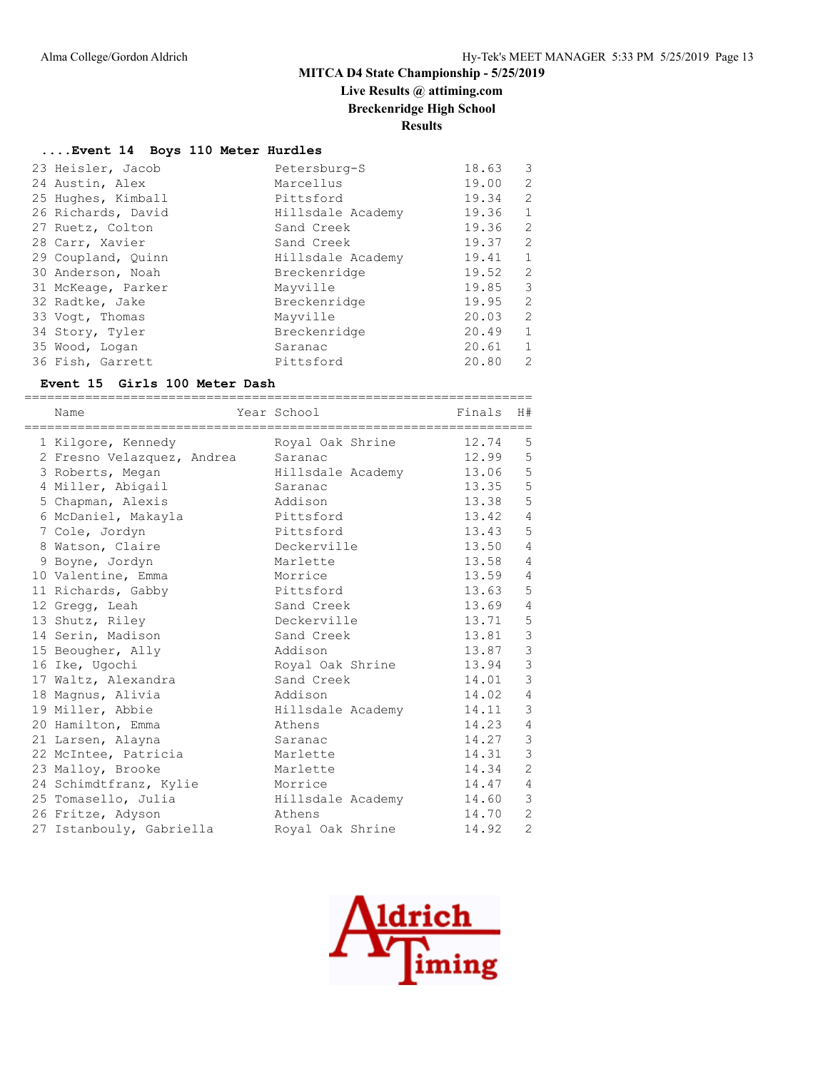# **Live Results @ attiming.com**

**Breckenridge High School**

**Results**

#### **....Event 14 Boys 110 Meter Hurdles**

| 23 Heisler, Jacob  | Petersburg-S      | 18.63 | 3              |
|--------------------|-------------------|-------|----------------|
| 24 Austin, Alex    | Marcellus         | 19.00 | 2              |
| 25 Hughes, Kimball | Pittsford         | 19.34 | $\overline{2}$ |
| 26 Richards, David | Hillsdale Academy | 19.36 | $\mathbf{1}$   |
| 27 Ruetz, Colton   | Sand Creek        | 19.36 | 2              |
| 28 Carr, Xavier    | Sand Creek        | 19.37 | $\overline{2}$ |
| 29 Coupland, Quinn | Hillsdale Academy | 19.41 | $\mathbf{1}$   |
| 30 Anderson, Noah  | Breckenridge      | 19.52 | 2              |
| 31 McKeage, Parker | Mayville          | 19.85 | 3              |
| 32 Radtke, Jake    | Breckenridge      | 19.95 | $\overline{2}$ |
| 33 Voqt, Thomas    | Mayville          | 20.03 | 2              |
| 34 Story, Tyler    | Breckenridge      | 20.49 | $\mathbf{1}$   |
| 35 Wood, Logan     | Saranac           | 20.61 | $\mathbf{1}$   |
| 36 Fish, Garrett   | Pittsford         | 20.80 | $\mathcal{L}$  |

#### **Event 15 Girls 100 Meter Dash**

| =============================<br>Name | Year School       | Finals | H#             |
|---------------------------------------|-------------------|--------|----------------|
| 1 Kilgore, Kennedy                    | Royal Oak Shrine  | 12.74  | 5              |
| 2 Fresno Velazquez, Andrea            | Saranac           | 12.99  | 5              |
| 3 Roberts, Megan                      | Hillsdale Academy | 13.06  | 5              |
| 4 Miller, Abigail                     | Saranac           | 13.35  | 5              |
| 5 Chapman, Alexis                     | Addison           | 13.38  | 5              |
| 6 McDaniel, Makayla                   | Pittsford         | 13.42  | $\overline{4}$ |
| 7 Cole, Jordyn                        | Pittsford         | 13.43  | 5              |
| 8 Watson, Claire                      | Deckerville       | 13.50  | $\overline{4}$ |
| 9 Boyne, Jordyn                       | Marlette          | 13.58  | 4              |
| 10 Valentine, Emma                    | Morrice           | 13.59  | 4              |
| 11 Richards, Gabby                    | Pittsford         | 13.63  | 5              |
| 12 Gregg, Leah                        | Sand Creek        | 13.69  | 4              |
| 13 Shutz, Riley                       | Deckerville       | 13.71  | 5              |
| 14 Serin, Madison                     | Sand Creek        | 13.81  | $\mathfrak{Z}$ |
| 15 Beougher, Ally                     | Addison           | 13.87  | $\mathcal{S}$  |
| 16 Ike, Ugochi                        | Royal Oak Shrine  | 13.94  | $\mathcal{S}$  |
| 17 Waltz, Alexandra                   | Sand Creek        | 14.01  | $\mathcal{S}$  |
| 18 Magnus, Alivia                     | Addison           | 14.02  | $\overline{4}$ |
| 19 Miller, Abbie                      | Hillsdale Academy | 14.11  | 3              |
| 20 Hamilton, Emma                     | Athens            | 14.23  | 4              |
| 21 Larsen, Alayna                     | Saranac           | 14.27  | $\mathcal{E}$  |
| 22 McIntee, Patricia                  | Marlette          | 14.31  | 3              |
| 23 Malloy, Brooke                     | Marlette          | 14.34  | 2              |
| 24 Schimdtfranz, Kylie                | Morrice           | 14.47  | $\overline{4}$ |
| 25 Tomasello, Julia                   | Hillsdale Academy | 14.60  | 3              |
| 26 Fritze, Adyson                     | Athens            | 14.70  | 2              |
| 27 Istanbouly, Gabriella              | Royal Oak Shrine  | 14.92  | $\overline{2}$ |

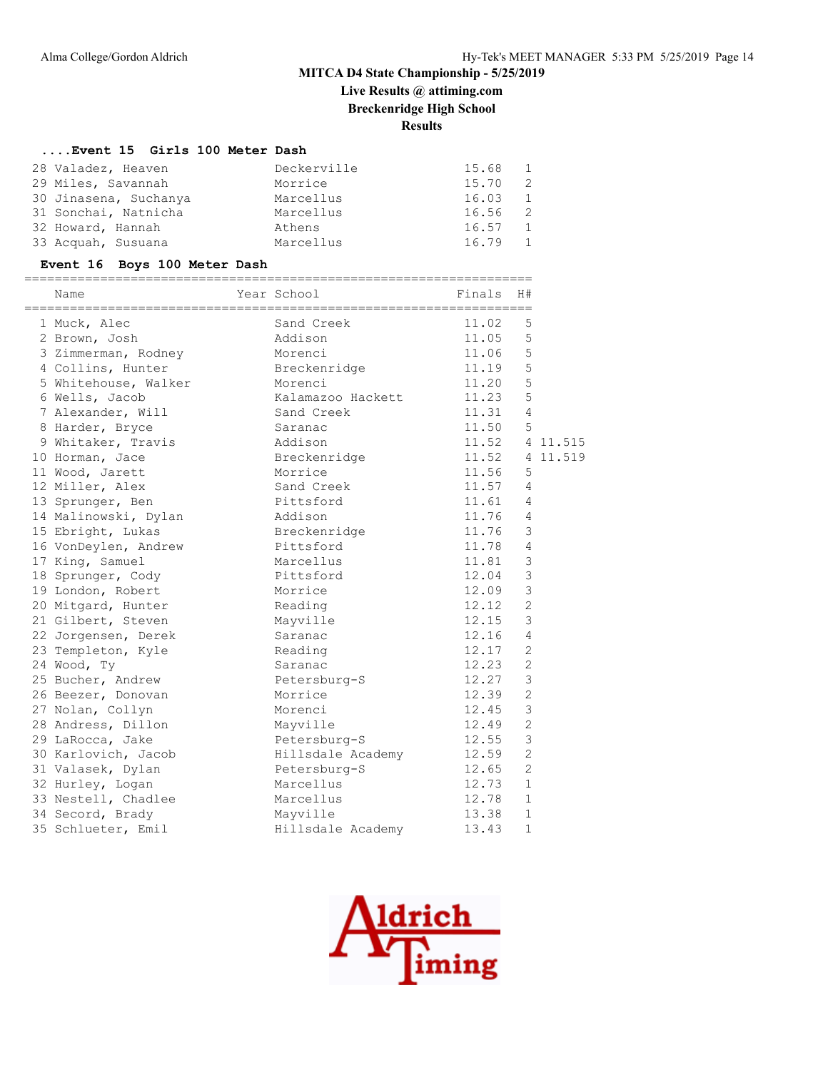# **Live Results @ attiming.com**

**Breckenridge High School**

**Results**

#### **....Event 15 Girls 100 Meter Dash**

| 28 Valadez, Heaven    | Deckerville | 15.68<br>$\frac{1}{2}$ |
|-----------------------|-------------|------------------------|
| 29 Miles, Savannah    | Morrice     | 15.70<br>2             |
| 30 Jinasena, Suchanya | Marcellus   | 16.03 1                |
| 31 Sonchai, Natnicha  | Marcellus   | 16.56<br>-2            |
| 32 Howard, Hannah     | Athens      | 16.57<br>$\mathbf{1}$  |
| 33 Acquah, Susuana    | Marcellus   | 16.79                  |

#### **Event 16 Boys 100 Meter Dash**

| Name                 | Year School       | Finals | H#             |          |
|----------------------|-------------------|--------|----------------|----------|
| 1 Muck, Alec         | Sand Creek        | 11.02  | 5              |          |
| 2 Brown, Josh        | Addison           | 11.05  | 5              |          |
| 3 Zimmerman, Rodney  | Morenci           | 11.06  | 5              |          |
| 4 Collins, Hunter    | Breckenridge      | 11.19  | 5              |          |
| 5 Whitehouse, Walker | Morenci           | 11.20  | 5              |          |
| 6 Wells, Jacob       | Kalamazoo Hackett | 11.23  | 5              |          |
| 7 Alexander, Will    | Sand Creek        | 11.31  | $\overline{4}$ |          |
| 8 Harder, Bryce      | Saranac           | 11.50  | 5              |          |
| 9 Whitaker, Travis   | Addison           | 11.52  |                | 4 11.515 |
| 10 Horman, Jace      | Breckenridge      | 11.52  |                | 4 11.519 |
| 11 Wood, Jarett      | Morrice           | 11.56  | 5              |          |
| 12 Miller, Alex      | Sand Creek        | 11.57  | $\overline{4}$ |          |
| 13 Sprunger, Ben     | Pittsford         | 11.61  | 4              |          |
| 14 Malinowski, Dylan | Addison           | 11.76  | 4              |          |
| 15 Ebright, Lukas    | Breckenridge      | 11.76  | $\mathsf 3$    |          |
| 16 VonDeylen, Andrew | Pittsford         | 11.78  | 4              |          |
| 17 King, Samuel      | Marcellus         | 11.81  | 3              |          |
| 18 Sprunger, Cody    | Pittsford         | 12.04  | 3              |          |
| 19 London, Robert    | Morrice           | 12.09  | 3              |          |
| 20 Mitgard, Hunter   | Reading           | 12.12  | $\overline{c}$ |          |
| 21 Gilbert, Steven   | Mayville          | 12.15  | 3              |          |
| 22 Jorgensen, Derek  | Saranac           | 12.16  | $\overline{4}$ |          |
| 23 Templeton, Kyle   | Reading           | 12.17  | $\overline{2}$ |          |
| 24 Wood, Ty          | Saranac           | 12.23  | $\overline{2}$ |          |
| 25 Bucher, Andrew    | Petersburg-S      | 12.27  | 3              |          |
| 26 Beezer, Donovan   | Morrice           | 12.39  | $\overline{2}$ |          |
| 27 Nolan, Collyn     | Morenci           | 12.45  | 3              |          |
| 28 Andress, Dillon   | Mayville          | 12.49  | $\overline{c}$ |          |
| 29 LaRocca, Jake     | Petersburg-S      | 12.55  | 3              |          |
| 30 Karlovich, Jacob  | Hillsdale Academy | 12.59  | $\overline{2}$ |          |
| 31 Valasek, Dylan    | Petersburg-S      | 12.65  | $\overline{2}$ |          |
| 32 Hurley, Logan     | Marcellus         | 12.73  | $\mathbf{1}$   |          |
| 33 Nestell, Chadlee  | Marcellus         | 12.78  | $\mathbf{1}$   |          |
| 34 Secord, Brady     | Mayville          | 13.38  | $\mathbf{1}$   |          |
| 35 Schlueter, Emil   | Hillsdale Academy | 13.43  | $\mathbf{1}$   |          |

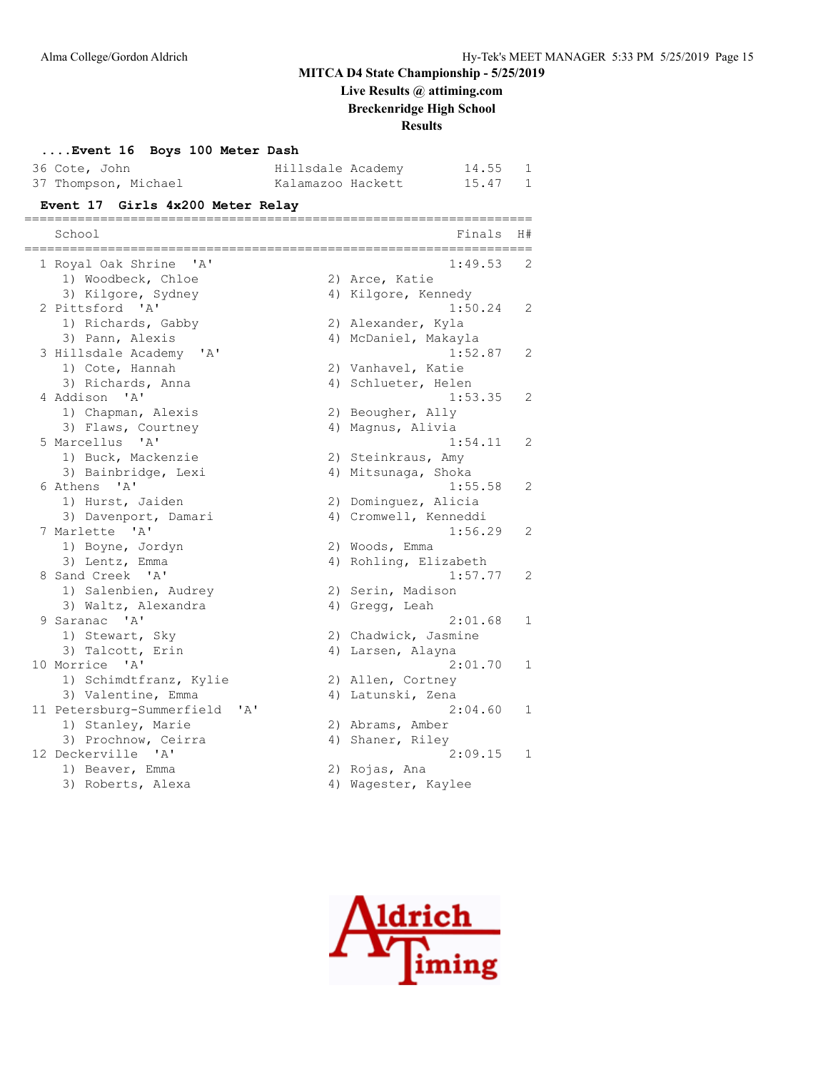**Live Results @ attiming.com**

**Breckenridge High School**

**Results**

| Event 16 Boys 100 Meter Dash<br>36 Cote, John<br>37 Thompson, Michael | Hillsdale Academy<br>Kalamazoo Hackett | 14.55<br>15.47                                     | 1<br>1       |
|-----------------------------------------------------------------------|----------------------------------------|----------------------------------------------------|--------------|
| Event 17 Girls 4x200 Meter Relay                                      |                                        |                                                    |              |
| ===============<br>School                                             |                                        | _____________________<br>Finals<br>--------------- | H#           |
| 1 Royal Oak Shrine 'A'                                                |                                        | 1:49.53                                            | 2            |
| 1) Woodbeck, Chloe                                                    |                                        | 2) Arce, Katie                                     |              |
| 3) Kilgore, Sydney                                                    |                                        | 4) Kilgore, Kennedy                                |              |
| 2 Pittsford 'A'                                                       |                                        | 1:50.24                                            | 2            |
| 1) Richards, Gabby                                                    |                                        | 2) Alexander, Kyla                                 |              |
| 3) Pann, Alexis                                                       |                                        | 4) McDaniel, Makayla                               |              |
| 3 Hillsdale Academy 'A'                                               |                                        | 1:52.87                                            | 2            |
| 1) Cote, Hannah                                                       |                                        | 2) Vanhavel, Katie                                 |              |
| 3) Richards, Anna                                                     |                                        | 4) Schlueter, Helen                                |              |
| 4 Addison 'A'                                                         |                                        | 1:53.35                                            | 2            |
| 1) Chapman, Alexis                                                    |                                        | 2) Beougher, Ally                                  |              |
| 3) Flaws, Courtney                                                    |                                        | 4) Magnus, Alivia                                  |              |
| 5 Marcellus 'A'<br>1) Buck, Mackenzie                                 |                                        | 1:54.11<br>2) Steinkraus, Amy                      | 2            |
| 3) Bainbridge, Lexi                                                   |                                        | 4) Mitsunaga, Shoka                                |              |
| 6 Athens 'A'                                                          |                                        | 1:55.58                                            | 2            |
| 1) Hurst, Jaiden                                                      |                                        | 2) Dominguez, Alicia                               |              |
| 3) Davenport, Damari                                                  |                                        | 4) Cromwell, Kenneddi                              |              |
| 7 Marlette 'A'                                                        |                                        | 1:56.29                                            | 2            |
| 1) Boyne, Jordyn                                                      |                                        | 2) Woods, Emma                                     |              |
| 3) Lentz, Emma                                                        |                                        | 4) Rohling, Elizabeth                              |              |
| 8 Sand Creek 'A'                                                      |                                        | 1:57.77                                            | 2            |
| 1) Salenbien, Audrey                                                  |                                        | 2) Serin, Madison                                  |              |
| 3) Waltz, Alexandra                                                   |                                        | 4) Gregg, Leah                                     |              |
| 9 Saranac 'A'                                                         |                                        | 2:01.68                                            | $\mathbf{1}$ |
| 1) Stewart, Sky                                                       |                                        | 2) Chadwick, Jasmine                               |              |
| 3) Talcott, Erin                                                      |                                        | 4) Larsen, Alayna                                  |              |
| 10 Morrice 'A'                                                        |                                        | 2:01.70                                            | $\mathbf{1}$ |
| 1) Schimdtfranz, Kylie                                                |                                        | 2) Allen, Cortney                                  |              |
| 3) Valentine, Emma                                                    |                                        | 4) Latunski, Zena                                  |              |
| 11 Petersburg-Summerfield 'A'                                         |                                        | 2:04.60                                            | 1            |
| 1) Stanley, Marie                                                     |                                        | 2) Abrams, Amber                                   |              |
| 3) Prochnow, Ceirra<br>12 Deckerville 'A'                             |                                        | 4) Shaner, Riley                                   |              |
| 1) Beaver, Emma                                                       |                                        | $2:09.15$ 1<br>2) Rojas, Ana                       |              |
| 3) Roberts, Alexa                                                     |                                        | 4) Wagester, Kaylee                                |              |
|                                                                       |                                        |                                                    |              |

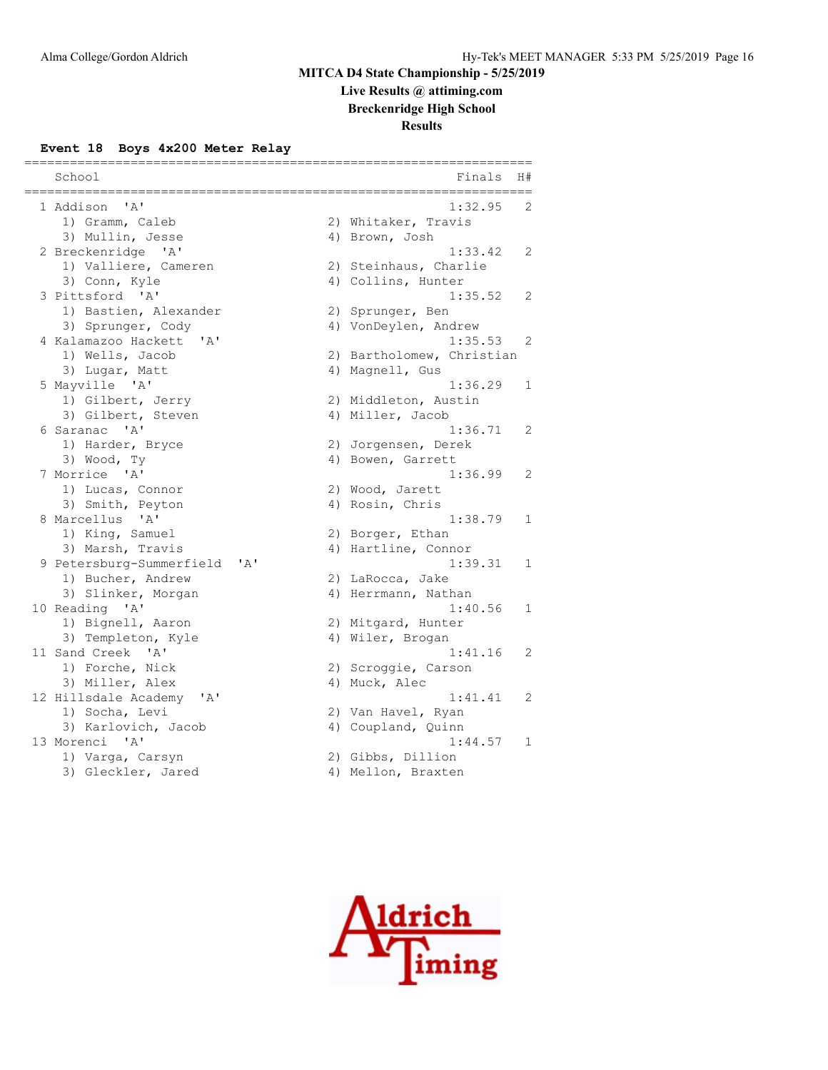# **Live Results @ attiming.com**

**Breckenridge High School**

# **Results**

#### **Event 18 Boys 4x200 Meter Relay**

| School                                                         |     |    | Finals                        | H#           |
|----------------------------------------------------------------|-----|----|-------------------------------|--------------|
| ' A'<br>1 Addison                                              |     |    | 1:32.95                       | 2            |
| 1) Gramm, Caleb                                                |     |    | 2) Whitaker, Travis           |              |
| 3) Mullin, Jesse                                               |     | 4) | Brown, Josh                   |              |
| 2 Breckenridge 'A'                                             |     |    | 1:33.42                       | 2            |
| 1) Valliere, Cameren                                           |     |    | 2) Steinhaus, Charlie         |              |
| 3) Conn, Kyle                                                  |     |    | 4) Collins, Hunter            |              |
| 3 Pittsford 'A'                                                |     |    | 1:35.52                       | 2            |
| 1) Bastien, Alexander                                          |     |    | 2) Sprunger, Ben              |              |
| 3) Sprunger, Cody                                              |     |    | 4) VonDeylen, Andrew          |              |
| 4 Kalamazoo Hackett<br>' A'                                    |     |    | 1:35.53                       | 2            |
| 1) Wells, Jacob                                                |     |    | 2) Bartholomew, Christian     |              |
| 3) Lugar, Matt                                                 |     |    | 4) Magnell, Gus               |              |
| 5 Mayville 'A'                                                 |     |    | 1:36.29                       | $\mathbf{1}$ |
| 1) Gilbert, Jerry                                              |     |    | 2) Middleton, Austin          |              |
| 3) Gilbert, Steven                                             |     |    | 4) Miller, Jacob              |              |
| 6 Saranac 'A'                                                  |     |    | 1:36.71                       | 2            |
| 1) Harder, Bryce                                               |     |    | 2) Jorgensen, Derek           |              |
| 3) Wood, Ty                                                    |     |    | 4) Bowen, Garrett             |              |
| 7 Morrice 'A'                                                  |     |    | 1:36.99                       | 2            |
| 1) Lucas, Connor                                               |     |    | 2) Wood, Jarett               |              |
| 3) Smith, Peyton                                               |     |    | 4) Rosin, Chris               |              |
| $^{\prime}$ A <sup><math>^{\prime}</math></sup><br>8 Marcellus |     |    | 1:38.79                       | $\mathbf{1}$ |
| 1) King, Samuel                                                |     |    | 2) Borger, Ethan              |              |
| 3) Marsh, Travis                                               |     |    | 4) Hartline, Connor           |              |
| 9 Petersburg-Summerfield                                       | 'A' |    | 1:39.31                       | 1            |
| 1) Bucher, Andrew                                              |     |    | 2) LaRocca, Jake              |              |
| 3) Slinker, Morgan                                             |     |    | 4) Herrmann, Nathan           |              |
| 10 Reading 'A'                                                 |     |    | 1:40.56                       | $\mathbf 1$  |
| 1) Bignell, Aaron                                              |     |    | 2) Mitgard, Hunter            |              |
| 3) Templeton, Kyle                                             |     |    | 4) Wiler, Brogan              |              |
| 11 Sand Creek 'A'                                              |     |    | 1:41.16                       | 2            |
| 1) Forche, Nick                                                |     |    | 2) Scroggie, Carson           |              |
| 3) Miller, Alex                                                |     |    | 4) Muck, Alec                 |              |
| 12 Hillsdale Academy<br>' A'                                   |     |    | 1:41.41                       | 2            |
| 1) Socha, Levi                                                 |     |    | 2) Van Havel, Ryan            |              |
| 3) Karlovich, Jacob<br>13 Morenci<br>$\mathsf{A}$              |     |    | 4) Coupland, Quinn<br>1:44.57 |              |
|                                                                |     |    |                               | 1            |
| 1) Varga, Carsyn<br>3) Gleckler, Jared                         |     |    | 2) Gibbs, Dillion             |              |
|                                                                |     |    | 4) Mellon, Braxten            |              |

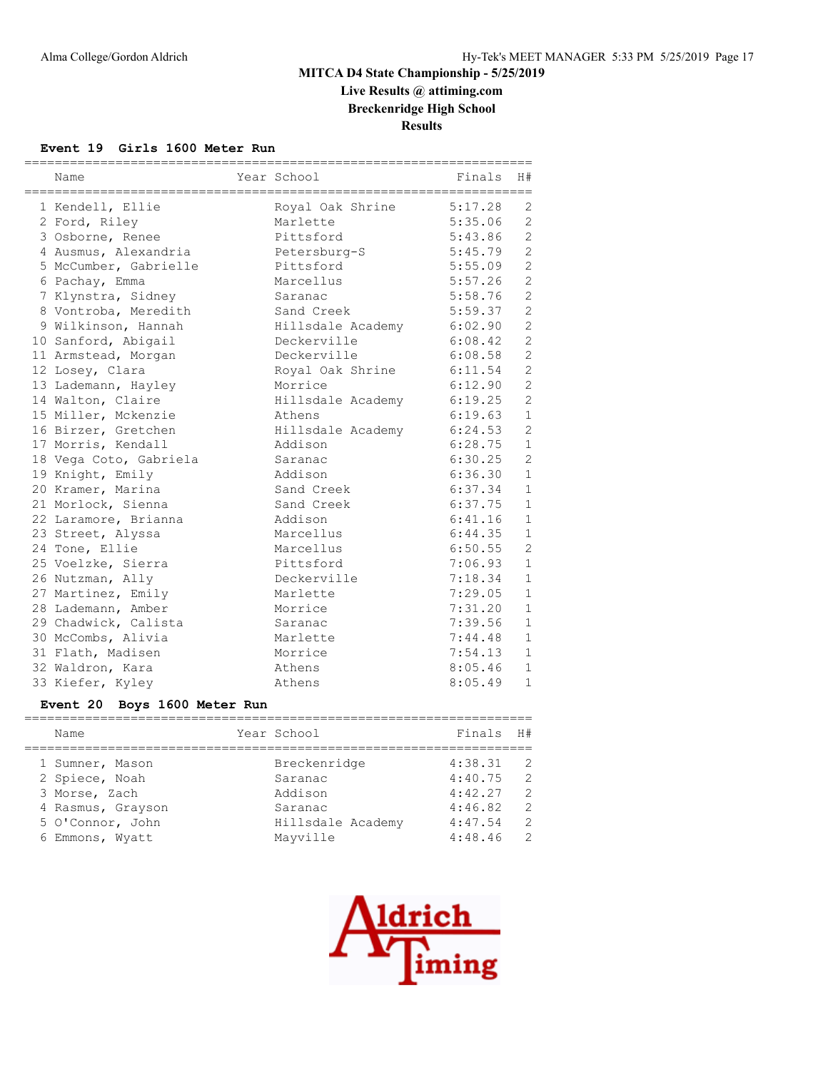**Live Results @ attiming.com Breckenridge High School**

**Results**

#### **Event 19 Girls 1600 Meter Run**

| Name                   | Year School       | Finals  | H#             |
|------------------------|-------------------|---------|----------------|
| 1 Kendell, Ellie       | Royal Oak Shrine  | 5:17.28 | 2              |
| 2 Ford, Riley          | Marlette          | 5:35.06 | $\overline{c}$ |
| 3 Osborne, Renee       | Pittsford         | 5:43.86 | $\overline{c}$ |
| 4 Ausmus, Alexandria   | Petersburg-S      | 5:45.79 | $\overline{2}$ |
| 5 McCumber, Gabrielle  | Pittsford         | 5:55.09 | $\overline{2}$ |
| 6 Pachay, Emma         | Marcellus         | 5:57.26 | $\overline{c}$ |
| 7 Klynstra, Sidney     | Saranac           | 5:58.76 | $\overline{c}$ |
| 8 Vontroba, Meredith   | Sand Creek        | 5:59.37 | $\overline{c}$ |
| 9 Wilkinson, Hannah    | Hillsdale Academy | 6:02.90 | $\overline{c}$ |
| 10 Sanford, Abigail    | Deckerville       | 6:08.42 | $\overline{2}$ |
| 11 Armstead, Morgan    | Deckerville       | 6:08.58 | $\overline{c}$ |
| 12 Losey, Clara        | Royal Oak Shrine  | 6:11.54 | $\overline{c}$ |
| 13 Lademann, Hayley    | Morrice           | 6:12.90 | $\overline{c}$ |
| 14 Walton, Claire      | Hillsdale Academy | 6:19.25 | $\overline{c}$ |
| 15 Miller, Mckenzie    | Athens            | 6:19.63 | $\mathbf{1}$   |
| 16 Birzer, Gretchen    | Hillsdale Academy | 6:24.53 | $\overline{2}$ |
| 17 Morris, Kendall     | Addison           | 6:28.75 | $\mathbf{1}$   |
| 18 Vega Coto, Gabriela | Saranac           | 6:30.25 | $\overline{c}$ |
| 19 Knight, Emily       | Addison           | 6:36.30 | $\mathbf{1}$   |
| 20 Kramer, Marina      | Sand Creek        | 6:37.34 | $\mathbf{1}$   |
| 21 Morlock, Sienna     | Sand Creek        | 6:37.75 | $\mathbf{1}$   |
| 22 Laramore, Brianna   | Addison           | 6:41.16 | $\mathbf{1}$   |
| 23 Street, Alyssa      | Marcellus         | 6:44.35 | $\mathbf{1}$   |
| 24 Tone, Ellie         | Marcellus         | 6:50.55 | $\overline{c}$ |
| 25 Voelzke, Sierra     | Pittsford         | 7:06.93 | $\mathbf{1}$   |
| 26 Nutzman, Ally       | Deckerville       | 7:18.34 | $\mathbf{1}$   |
| 27 Martinez, Emily     | Marlette          | 7:29.05 | $\mathbf{1}$   |
| 28 Lademann, Amber     | Morrice           | 7:31.20 | $\mathbf{1}$   |
| 29 Chadwick, Calista   | Saranac           | 7:39.56 | $1\,$          |
| 30 McCombs, Alivia     | Marlette          | 7:44.48 | $\mathbf{1}$   |
| 31 Flath, Madisen      | Morrice           | 7:54.13 | $\mathbf{1}$   |
| 32 Waldron, Kara       | Athens            | 8:05.46 | $\mathbf{1}$   |
| 33 Kiefer, Kyley       | Athens            | 8:05.49 | $\mathbf{1}$   |

## **Event 20 Boys 1600 Meter Run**

| Name              | Year School       | Finals H# |                |
|-------------------|-------------------|-----------|----------------|
| 1 Sumner, Mason   | Breckenridge      | 4:38.31   | -2             |
| 2 Spiece, Noah    | Saranac           | 4:40.75   | $\overline{2}$ |
| 3 Morse, Zach     | Addison           | 4:42.27   | 2              |
| 4 Rasmus, Grayson | Saranac           | 4:46.82   | 2              |
| 5 O'Connor, John  | Hillsdale Academy | 4:47.54   | 2              |
| 6 Emmons, Wyatt   | Mayville          | 4:48.46   | 2              |
|                   |                   |           |                |

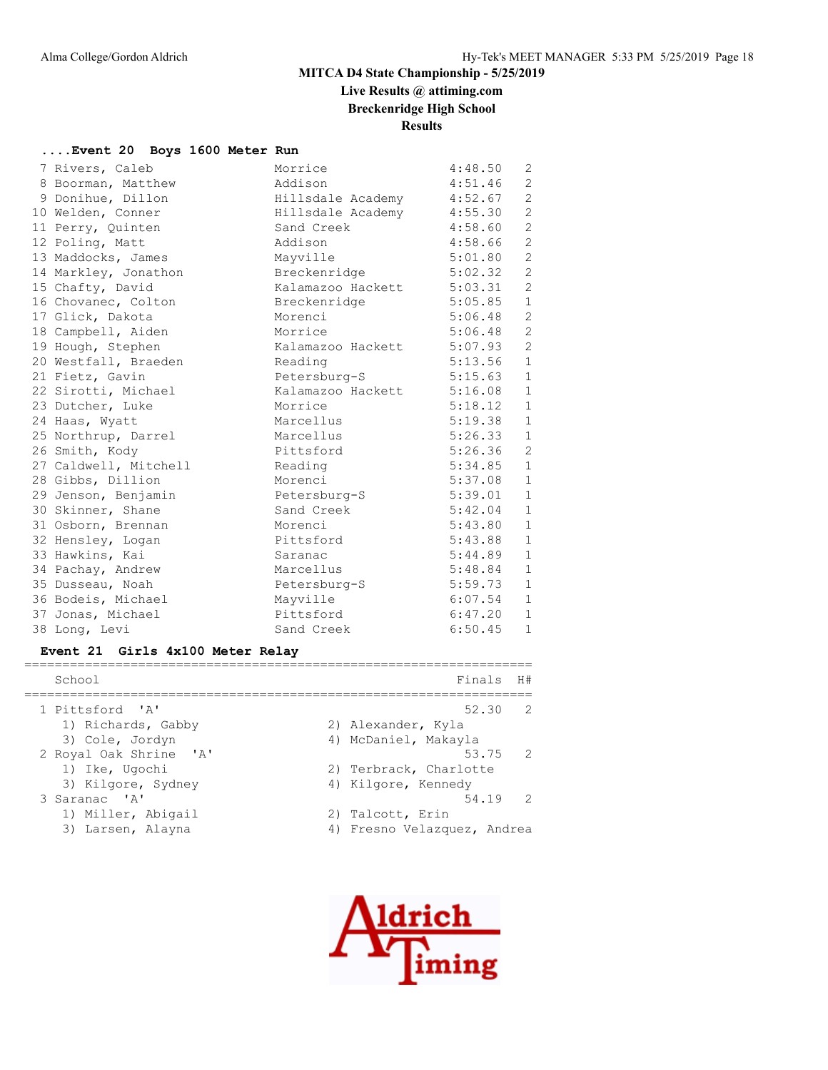# **Live Results @ attiming.com**

**Breckenridge High School**

**Results**

#### **....Event 20 Boys 1600 Meter Run**

|  | 7 Rivers, Caleb       | Morrice                   | 4:48.50     | 2              |
|--|-----------------------|---------------------------|-------------|----------------|
|  | 8 Boorman, Matthew    | Addison                   | 4:51.46     | 2              |
|  | 9 Donihue, Dillon     | Hillsdale Academy 4:52.67 |             | $\overline{c}$ |
|  | 10 Welden, Conner     | Hillsdale Academy 4:55.30 |             | $\sqrt{2}$     |
|  | 11 Perry, Quinten     | Sand Creek                | 4:58.60     | $\overline{c}$ |
|  | 12 Poling, Matt       | Addison                   | 4:58.66     | $\overline{c}$ |
|  | 13 Maddocks, James    | Mayville                  | 5:01.80     | $\overline{2}$ |
|  | 14 Markley, Jonathon  | Breckenridge              | $5:02.32$ 2 |                |
|  | 15 Chafty, David      | Kalamazoo Hackett 5:03.31 |             | 2              |
|  | 16 Chovanec, Colton   | Breckenridge              | 5:05.85     | $1\,$          |
|  | 17 Glick, Dakota      | Morenci                   | 5:06.48     | $\overline{c}$ |
|  | 18 Campbell, Aiden    | Morrice                   | 5:06.48     | $\overline{c}$ |
|  | 19 Hough, Stephen     | Kalamazoo Hackett 5:07.93 |             | $\overline{c}$ |
|  | 20 Westfall, Braeden  | Reading                   | $5:13.56$ 1 |                |
|  | 21 Fietz, Gavin       | Petersburg-S              | 5:15.63     | $\mathbf{1}$   |
|  | 22 Sirotti, Michael   | Kalamazoo Hackett 5:16.08 |             | $\mathbf{1}$   |
|  | 23 Dutcher, Luke      | Morrice                   | 5:18.12     | $\mathbf{1}$   |
|  | 24 Haas, Wyatt        | Marcellus                 | 5:19.38     | $\mathbf{1}$   |
|  | 25 Northrup, Darrel   | Marcellus                 | 5:26.33     | $\mathbf{1}$   |
|  | 26 Smith, Kody        | Pittsford                 | $5:26.36$ 2 |                |
|  | 27 Caldwell, Mitchell | Reading                   | $5:34.85$ 1 |                |
|  | 28 Gibbs, Dillion     | Morenci                   | 5:37.08     | $\mathbf{1}$   |
|  | 29 Jenson, Benjamin   | Petersburg-S              | 5:39.01     | $\mathbf{1}$   |
|  | 30 Skinner, Shane     | Sand Creek                | 5:42.04     | $\mathbf{1}$   |
|  | 31 Osborn, Brennan    | Morenci                   | 5:43.80     | $\mathbf{1}$   |
|  | 32 Hensley, Logan     | Pittsford                 | 5:43.88     | 1              |
|  | 33 Hawkins, Kai       | Saranac                   | 5:44.89     | $\mathbf{1}$   |
|  | 34 Pachay, Andrew     | Marcellus                 | 5:48.84     | $\mathbf{1}$   |
|  | 35 Dusseau, Noah      | Petersburg-S              | 5:59.73     | $\mathbf{1}$   |
|  | 36 Bodeis, Michael    | Mayville                  | 6:07.54     | $\mathbf{1}$   |
|  | 37 Jonas, Michael     | Pittsford                 | 6:47.20     | $\mathbf{1}$   |
|  | 38 Long, Levi         | Sand Creek                | 6:50.45     | $\mathbf 1$    |
|  |                       |                           |             |                |

#### **Event 21 Girls 4x100 Meter Relay**

| School                 | Finals H#                   |
|------------------------|-----------------------------|
| 1 Pittsford 'A'        | $\overline{2}$<br>52.30     |
| 1) Richards, Gabby     | 2) Alexander, Kyla          |
| 3) Cole, Jordyn        | 4) McDaniel, Makayla        |
| 2 Royal Oak Shrine 'A' | 53.75 2                     |
| 1) Ike, Ugochi         | 2) Terbrack, Charlotte      |
| 3) Kilgore, Sydney     | 4) Kilgore, Kennedy         |
| 3 Saranac 'A'          | 54.19 2                     |
| 1) Miller, Abigail     | 2) Talcott, Erin            |
| 3) Larsen, Alayna      | 4) Fresno Velazquez, Andrea |

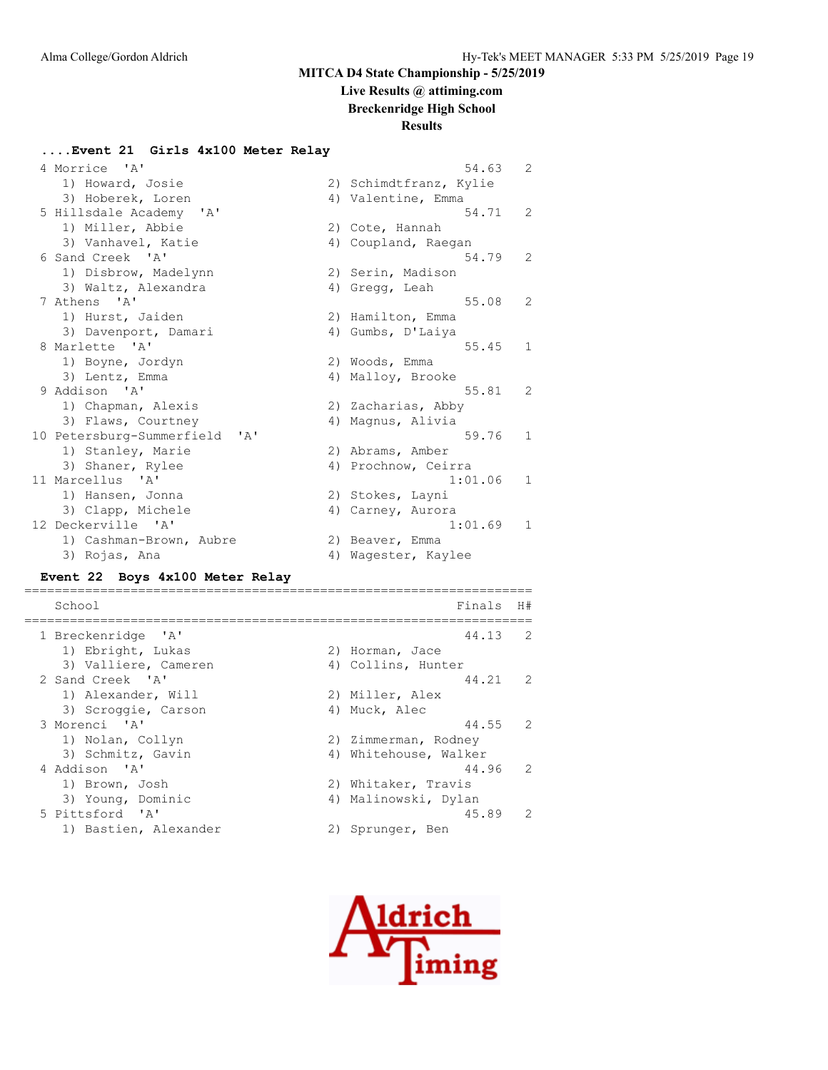# **Live Results @ attiming.com**

**Breckenridge High School**

#### **Results**

#### **....Event 21 Girls 4x100 Meter Relay**

| 4 Morrice 'A'                 | 54.63                  | $\overline{2}$ |
|-------------------------------|------------------------|----------------|
| 1) Howard, Josie              | 2) Schimdtfranz, Kylie |                |
| 3) Hoberek, Loren             | 4) Valentine, Emma     |                |
| 5 Hillsdale Academy 'A'       | 54.71                  | 2              |
| 1) Miller, Abbie              | 2) Cote, Hannah        |                |
| 3) Vanhavel, Katie            | 4) Coupland, Raegan    |                |
| 6 Sand Creek 'A'              | 54.79                  | 2              |
| 1) Disbrow, Madelynn          | 2) Serin, Madison      |                |
| 3) Waltz, Alexandra           | 4) Gregg, Leah         |                |
| 7 Athens 'A'                  | 55.08                  | 2              |
| 1) Hurst, Jaiden              | 2) Hamilton, Emma      |                |
| 3) Davenport, Damari          | 4) Gumbs, D'Laiya      |                |
| 8 Marlette 'A'                | 55.45                  | 1              |
| 1) Boyne, Jordyn              | 2) Woods, Emma         |                |
| 3) Lentz, Emma                | 4) Malloy, Brooke      |                |
| 9 Addison 'A'                 | 55.81                  | 2              |
| 1) Chapman, Alexis            | 2) Zacharias, Abby     |                |
| 3) Flaws, Courtney            | 4) Magnus, Alivia      |                |
| 10 Petersburg-Summerfield 'A' | 59.76                  | $\mathbf{1}$   |
| 1) Stanley, Marie             | 2) Abrams, Amber       |                |
| 3) Shaner, Rylee              | 4) Prochnow, Ceirra    |                |
| 11 Marcellus 'A'              | 1:01.06                | $\mathbf{1}$   |
| 1) Hansen, Jonna              | 2) Stokes, Layni       |                |
| 3) Clapp, Michele             | 4) Carney, Aurora      |                |
| 12 Deckerville 'A'            | 1:01.69                | 1              |
| 1) Cashman-Brown, Aubre       | 2) Beaver, Emma        |                |
| 3) Rojas, Ana                 | 4) Waqester, Kaylee    |                |

#### **Event 22 Boys 4x100 Meter Relay**

=================================================================== School Finals H# =================================================================== 1 Breckenridge 'A' 44.13 2 1) Ebright, Lukas (2) Horman, Jace 3) Valliere, Cameren (4) Collins, Hunter 2 Sand Creek 'A' 44.21 2 1) Alexander, Will 2) Miller, Alex 3) Scroggie, Carson (4) Muck, Alec 3 Morenci 'A' 44.55 2 1) Nolan, Collyn 20 2) Zimmerman, Rodney 3) Schmitz, Gavin and Allah 4) Whitehouse, Walker 4 Addison 'A' 44.96 2 1) Brown, Josh 2) Whitaker, Travis 3) Young, Dominic 4) Malinowski, Dylan 5 Pittsford 'A' 45.89 2 1) Bastien, Alexander (2) Sprunger, Ben

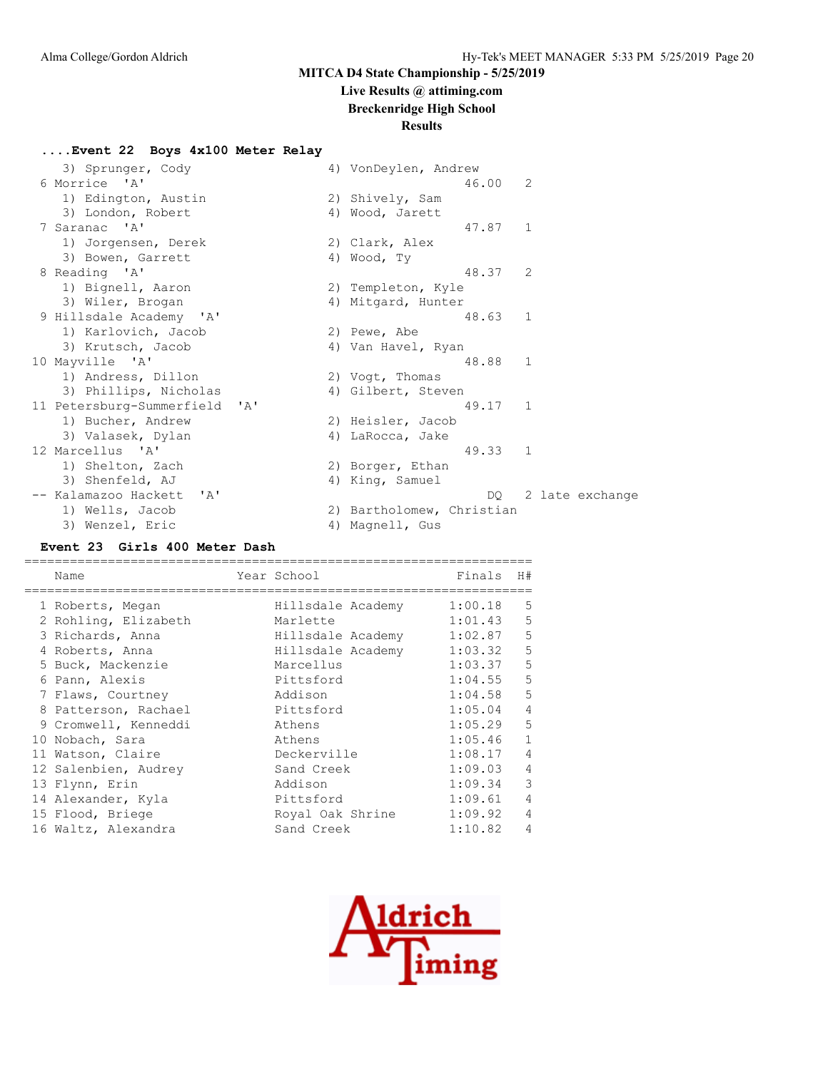# **Live Results @ attiming.com Breckenridge High School**

# **Results**

#### **....Event 22 Boys 4x100 Meter Relay**

| 3) Sprunger, Cody             |              | 4) VonDeylen, Andrew      |         |              |                 |
|-------------------------------|--------------|---------------------------|---------|--------------|-----------------|
| 6 Morrice 'A'                 |              |                           | 46.00   | 2            |                 |
| 1) Edington, Austin           |              | 2) Shively, Sam           |         |              |                 |
| 3) London, Robert             |              | 4) Wood, Jarett           |         |              |                 |
| 7 Saranac 'A'                 |              |                           | 47.87 1 |              |                 |
| 1) Jorgensen, Derek           |              | 2) Clark, Alex            |         |              |                 |
| 3) Bowen, Garrett             | 4) Wood, Ty  |                           |         |              |                 |
| 8 Reading 'A'                 |              |                           | 48.37   | 2            |                 |
| 1) Bignell, Aaron             |              | 2) Templeton, Kyle        |         |              |                 |
| 3) Wiler, Brogan              |              | 4) Mitgard, Hunter        |         |              |                 |
| 9 Hillsdale Academy 'A'       |              |                           | 48.63   | 1            |                 |
| 1) Karlovich, Jacob           | 2) Pewe, Abe |                           |         |              |                 |
| 3) Krutsch, Jacob             |              | 4) Van Havel, Ryan        |         |              |                 |
| 10 Mayville 'A'               |              |                           | 48.88   | 1            |                 |
| 1) Andress, Dillon            |              | 2) Vogt, Thomas           |         |              |                 |
| 3) Phillips, Nicholas         |              | 4) Gilbert, Steven        |         |              |                 |
| 11 Petersburg-Summerfield 'A' |              |                           | 49.17   | $\mathbf{1}$ |                 |
| 1) Bucher, Andrew             |              | 2) Heisler, Jacob         |         |              |                 |
| 3) Valasek, Dylan             |              | 4) LaRocca, Jake          |         |              |                 |
| 12 Marcellus 'A'              |              |                           | 49.33   | 1            |                 |
| 1) Shelton, Zach              |              | 2) Borger, Ethan          |         |              |                 |
| 3) Shenfeld, AJ               |              | 4) King, Samuel           |         |              |                 |
| -- Kalamazoo Hackett 'A'      |              |                           | DO      |              | 2 late exchange |
| 1) Wells, Jacob               |              | 2) Bartholomew, Christian |         |              |                 |
| 3) Wenzel, Eric               |              | 4) Magnell, Gus           |         |              |                 |

## **Event 23 Girls 400 Meter Dash**

| Name                 | Year School       | Finals  | H#             |
|----------------------|-------------------|---------|----------------|
| 1 Roberts, Megan     | Hillsdale Academy | 1:00.18 | 5              |
| 2 Rohling, Elizabeth | Marlette          | 1:01.43 | 5              |
| 3 Richards, Anna     | Hillsdale Academy | 1:02.87 | 5              |
| 4 Roberts, Anna      | Hillsdale Academy | 1:03.32 | 5              |
| 5 Buck, Mackenzie    | Marcellus         | 1:03.37 | 5              |
| 6 Pann, Alexis       | Pittsford         | 1:04.55 | 5              |
| 7 Flaws, Courtney    | Addison           | 1:04.58 | 5              |
| 8 Patterson, Rachael | Pittsford         | 1:05.04 | $\overline{4}$ |
| 9 Cromwell, Kenneddi | Athens            | 1:05.29 | 5              |
| 10 Nobach, Sara      | Athens            | 1:05.46 | $\mathbf{1}$   |
| 11 Watson, Claire    | Deckerville       | 1:08.17 | $\overline{4}$ |
| 12 Salenbien, Audrey | Sand Creek        | 1:09.03 | $\overline{4}$ |
| 13 Flynn, Erin       | Addison           | 1:09.34 | 3              |
| 14 Alexander, Kyla   | Pittsford         | 1:09.61 | $\overline{4}$ |
| 15 Flood, Briege     | Royal Oak Shrine  | 1:09.92 | 4              |
| 16 Waltz, Alexandra  | Sand Creek        | 1:10.82 | $\overline{4}$ |

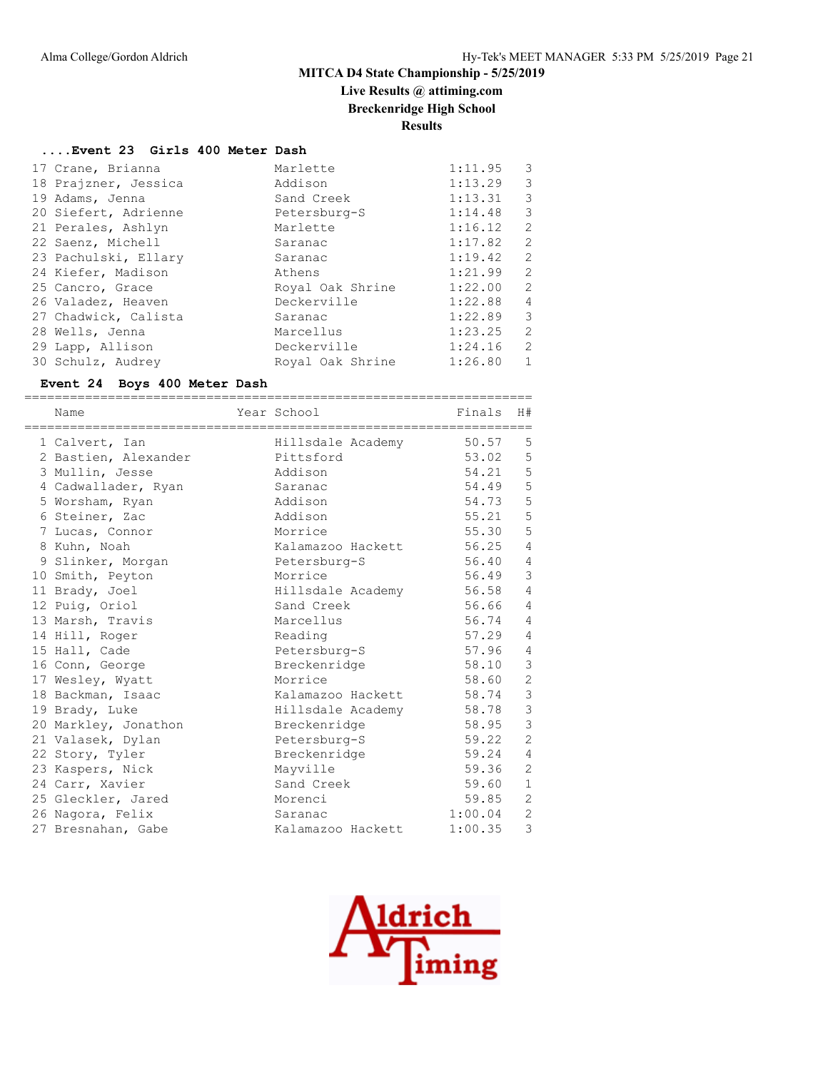# **Live Results @ attiming.com**

**Breckenridge High School**

**Results**

#### **....Event 23 Girls 400 Meter Dash**

| 17 Crane, Brianna    | Marlette         | 1:11.95 | 3              |
|----------------------|------------------|---------|----------------|
| 18 Prajzner, Jessica | Addison          | 1:13.29 | 3              |
| 19 Adams, Jenna      | Sand Creek       | 1:13.31 | 3              |
| 20 Siefert, Adrienne | Petersburg-S     | 1:14.48 | 3              |
| 21 Perales, Ashlyn   | Marlette         | 1:16.12 | $\overline{2}$ |
| 22 Saenz, Michell    | Saranac          | 1:17.82 | 2              |
| 23 Pachulski, Ellary | Saranac          | 1:19.42 | 2              |
| 24 Kiefer, Madison   | Athens           | 1:21.99 | $\overline{2}$ |
| 25 Cancro, Grace     | Royal Oak Shrine | 1:22.00 | $\overline{2}$ |
| 26 Valadez, Heaven   | Deckerville      | 1:22.88 | $\overline{4}$ |
| 27 Chadwick, Calista | Saranac          | 1:22.89 | 3              |
| 28 Wells, Jenna      | Marcellus        | 1:23.25 | $\mathcal{L}$  |
| 29 Lapp, Allison     | Deckerville      | 1:24.16 | $\overline{2}$ |
| 30 Schulz, Audrey    | Royal Oak Shrine | 1:26.80 | $\mathbf{1}$   |

## **Event 24 Boys 400 Meter Dash**

| Name                 | Year School       | Finals  | H#             |
|----------------------|-------------------|---------|----------------|
| 1 Calvert, Ian       | Hillsdale Academy | 50.57   | 5              |
| 2 Bastien, Alexander | Pittsford         | 53.02   | 5              |
| 3 Mullin, Jesse      | Addison           | 54.21   | 5              |
| 4 Cadwallader, Ryan  | Saranac           | 54.49   | 5              |
| 5 Worsham, Ryan      | Addison           | 54.73   | 5              |
| 6 Steiner, Zac       | Addison           | 55.21   | 5              |
| 7 Lucas, Connor      | Morrice           | 55.30   | 5              |
| 8 Kuhn, Noah         | Kalamazoo Hackett | 56.25   | $\overline{4}$ |
| 9 Slinker, Morgan    | Petersburg-S      | 56.40   | $\overline{4}$ |
| 10 Smith, Peyton     | Morrice           | 56.49   | 3              |
| 11 Brady, Joel       | Hillsdale Academy | 56.58   | $\overline{4}$ |
| 12 Puig, Oriol       | Sand Creek        | 56.66   | $\overline{4}$ |
| 13 Marsh, Travis     | Marcellus         | 56.74   | $\overline{4}$ |
| 14 Hill, Roger       | Reading           | 57.29   | $\overline{4}$ |
| 15 Hall, Cade        | Petersburg-S      | 57.96   | $\overline{4}$ |
| 16 Conn, George      | Breckenridge      | 58.10   | $\mathcal{S}$  |
| 17 Wesley, Wyatt     | Morrice           | 58.60   | $\mathbf{2}$   |
| 18 Backman, Isaac    | Kalamazoo Hackett | 58.74   | $\mathcal{S}$  |
| 19 Brady, Luke       | Hillsdale Academy | 58.78   | $\mathcal{S}$  |
| 20 Markley, Jonathon | Breckenridge      | 58.95   | $\mathcal{S}$  |
| 21 Valasek, Dylan    | Petersburg-S      | 59.22   | $\overline{2}$ |
| 22 Story, Tyler      | Breckenridge      | 59.24   | $\overline{4}$ |
| 23 Kaspers, Nick     | Mayville          | 59.36   | 2              |
| 24 Carr, Xavier      | Sand Creek        | 59.60   | $\mathbf{1}$   |
| 25 Gleckler, Jared   | Morenci           | 59.85   | $\overline{2}$ |
| 26 Nagora, Felix     | Saranac           | 1:00.04 | $\overline{c}$ |
| 27 Bresnahan, Gabe   | Kalamazoo Hackett | 1:00.35 | 3              |

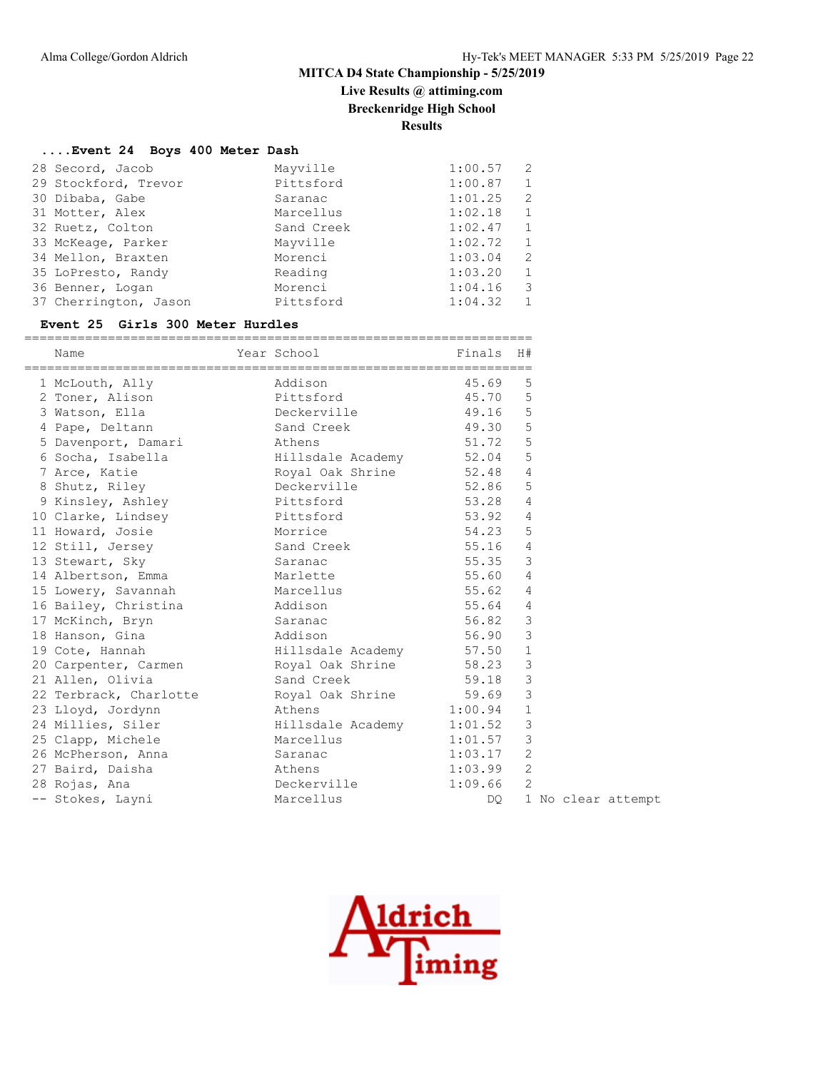# **Live Results @ attiming.com**

**Breckenridge High School**

**Results**

#### **....Event 24 Boys 400 Meter Dash**

| 28 Secord, Jacob      | Mayville   | 1:00.57 | -2             |
|-----------------------|------------|---------|----------------|
| 29 Stockford, Trevor  | Pittsford  | 1:00.87 | 1              |
| 30 Dibaba, Gabe       | Saranac    | 1:01.25 | 2              |
| 31 Motter, Alex       | Marcellus  | 1:02.18 | 1              |
| 32 Ruetz, Colton      | Sand Creek | 1:02.47 | 1              |
| 33 McKeage, Parker    | Mayville   | 1:02.72 | 1              |
| 34 Mellon, Braxten    | Morenci    | 1:03.04 | 2              |
| 35 LoPresto, Randy    | Reading    | 1:03.20 | 1              |
| 36 Benner, Logan      | Morenci    | 1:04.16 | 3              |
| 37 Cherrington, Jason | Pittsford  | 1:04.32 | $\overline{1}$ |

#### **Event 25 Girls 300 Meter Hurdles**

| Name                                             |                           |             | H#             |  |  |  |  |  |                    |
|--------------------------------------------------|---------------------------|-------------|----------------|--|--|--|--|--|--------------------|
| 1 McLouth, Ally                                  | Addison                   | 45.69       | 5              |  |  |  |  |  |                    |
| 2 Toner, Alison                                  | Pittsford                 | 45.70       | 5              |  |  |  |  |  |                    |
| 3 Watson, Ella                                   | Deckerville               | 49.16 5     |                |  |  |  |  |  |                    |
| 4 Pape, Deltann                                  | Sand Creek                | 49.30       | 5              |  |  |  |  |  |                    |
| 5 Davenport, Damari Athens                       |                           | 51.72 5     |                |  |  |  |  |  |                    |
| 6 Socha, Isabella (and Hillsdale Academy 52.04 5 |                           |             |                |  |  |  |  |  |                    |
| 7 Arce, Katie                                    | Royal Oak Shrine 52.48 4  |             |                |  |  |  |  |  |                    |
| 8 Shutz, Riley                                   | Deckerville 52.86         |             | 5              |  |  |  |  |  |                    |
| 9 Kinsley, Ashley                                | Pittsford                 | 53.28       | $\overline{4}$ |  |  |  |  |  |                    |
| 10 Clarke, Lindsey Pittsford                     |                           | 53.92 4     |                |  |  |  |  |  |                    |
| 11 Howard, Josie                                 | Morrice                   | 54.23       | 5              |  |  |  |  |  |                    |
| 12 Still, Jersey                                 | Sand Creek                | $55.16$ 4   |                |  |  |  |  |  |                    |
| 13 Stewart, Sky                                  | Saranac                   | 55.35       | $\mathbf{3}$   |  |  |  |  |  |                    |
| 14 Albertson, Emma                               | Marlette                  | 55.60 4     |                |  |  |  |  |  |                    |
| 15 Lowery, Savannah                              | Marcellus                 | 55.62       | $\overline{4}$ |  |  |  |  |  |                    |
| 16 Bailey, Christina Addison                     |                           | 55.64       | $\overline{4}$ |  |  |  |  |  |                    |
| 17 McKinch, Bryn                                 | Saranac                   | $56.82$ 3   |                |  |  |  |  |  |                    |
| 18 Hanson, Gina                                  | Addison                   | 56.90       | $\overline{3}$ |  |  |  |  |  |                    |
| 19 Cote, Hannah                                  | Hillsdale Academy 57.50 1 |             |                |  |  |  |  |  |                    |
| 20 Carpenter, Carmen Royal Oak Shrine 58.23      |                           |             | 3              |  |  |  |  |  |                    |
| 21 Allen, Olivia                                 | Sand Creek                | 59.18       | $\mathcal{S}$  |  |  |  |  |  |                    |
| 22 Terbrack, Charlotte Royal Oak Shrine 59.69    |                           |             | 3              |  |  |  |  |  |                    |
| 23 Lloyd, Jordynn<br>athens and Athens           |                           | $1:00.94$ 1 |                |  |  |  |  |  |                    |
| 24 Millies, Siler                                | Hillsdale Academy 1:01.52 |             | $\mathcal{S}$  |  |  |  |  |  |                    |
| 25 Clapp, Michele                                | Marcellus                 | 1:01.57     | $\mathbf{3}$   |  |  |  |  |  |                    |
| 26 McPherson, Anna Saranac                       |                           | 1:03.17     | 2              |  |  |  |  |  |                    |
| 27 Baird, Daisha                                 | Athens                    | 1:03.99     | 2              |  |  |  |  |  |                    |
| 28 Rojas, Ana                                    | Deckerville               | 1:09.66     | 2              |  |  |  |  |  |                    |
| -- Stokes, Layni                                 | Marcellus                 | DO          |                |  |  |  |  |  | 1 No clear attempt |

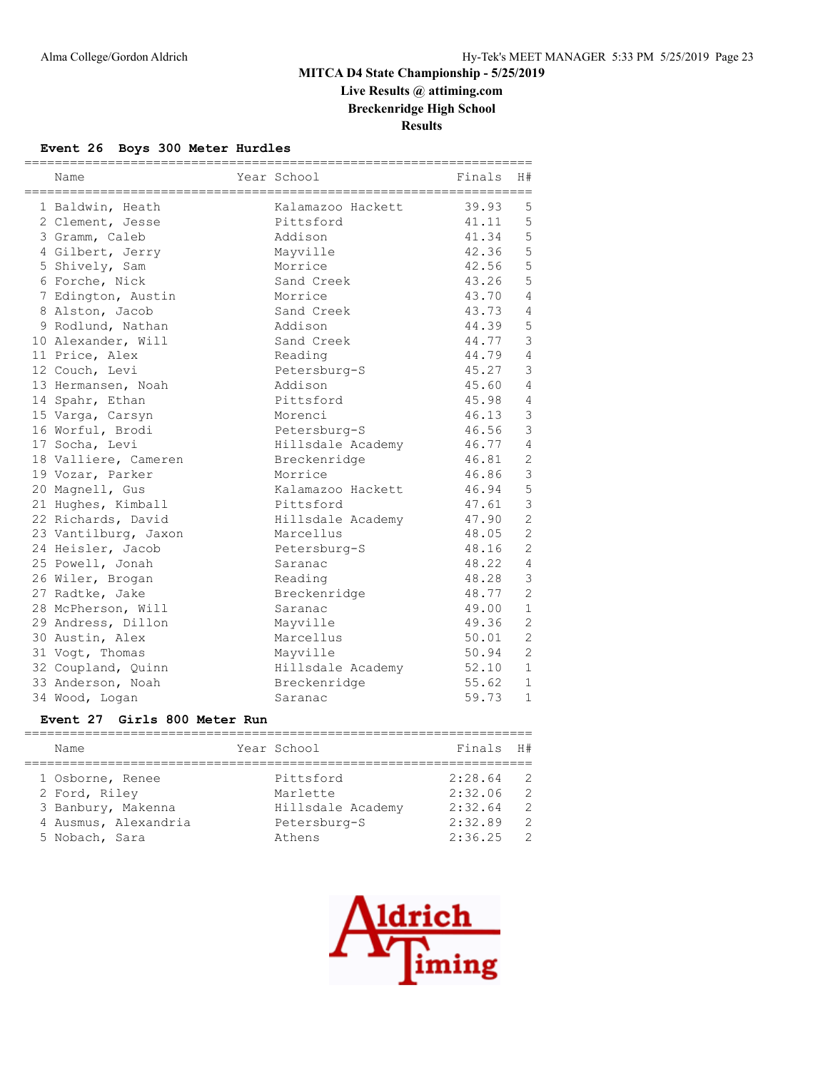# **Live Results @ attiming.com Breckenridge High School**

**Results**

#### **Event 26 Boys 300 Meter Hurdles**

| Name                 | ======================<br>Year School | Finals | H#             |
|----------------------|---------------------------------------|--------|----------------|
| 1 Baldwin, Heath     | Kalamazoo Hackett                     | 39.93  | 5              |
| 2 Clement, Jesse     | Pittsford                             | 41.11  | 5              |
| 3 Gramm, Caleb       | Addison                               | 41.34  | 5              |
| 4 Gilbert, Jerry     | Mayville                              | 42.36  | 5              |
| 5 Shively, Sam       | Morrice                               | 42.56  | 5              |
| 6 Forche, Nick       | Sand Creek                            | 43.26  | 5              |
| 7 Edington, Austin   | Morrice                               | 43.70  | $\overline{4}$ |
| 8 Alston, Jacob      | Sand Creek                            | 43.73  | $\overline{4}$ |
| 9 Rodlund, Nathan    | Addison                               | 44.39  | 5              |
| 10 Alexander, Will   | Sand Creek                            | 44.77  | $\mathfrak{Z}$ |
| 11 Price, Alex       | Reading                               | 44.79  | $\overline{4}$ |
| 12 Couch, Levi       | Petersburg-S                          | 45.27  | $\mathfrak{Z}$ |
| 13 Hermansen, Noah   | Addison                               | 45.60  | $\overline{4}$ |
| 14 Spahr, Ethan      | Pittsford                             | 45.98  | $\overline{4}$ |
| 15 Varga, Carsyn     | Morenci                               | 46.13  | $\mathcal{S}$  |
| 16 Worful, Brodi     | Petersburg-S                          | 46.56  | $\mathfrak{Z}$ |
| 17 Socha, Levi       | Hillsdale Academy                     | 46.77  | $\overline{4}$ |
| 18 Valliere, Cameren | Breckenridge                          | 46.81  | $\mathbf{2}$   |
| 19 Vozar, Parker     | Morrice                               | 46.86  | $\mathfrak{Z}$ |
| 20 Magnell, Gus      | Kalamazoo Hackett                     | 46.94  | 5              |
| 21 Hughes, Kimball   | Pittsford                             | 47.61  | $\mathfrak{Z}$ |
| 22 Richards, David   | Hillsdale Academy                     | 47.90  | $\overline{c}$ |
| 23 Vantilburg, Jaxon | Marcellus                             | 48.05  | $\overline{2}$ |
| 24 Heisler, Jacob    | Petersburg-S                          | 48.16  | $\overline{2}$ |
| 25 Powell, Jonah     | Saranac                               | 48.22  | $\overline{4}$ |
| 26 Wiler, Brogan     | Reading                               | 48.28  | $\mathcal{E}$  |
| 27 Radtke, Jake      | Breckenridge                          | 48.77  | $\overline{2}$ |
| 28 McPherson, Will   | Saranac                               | 49.00  | $\mathbf{1}$   |
| 29 Andress, Dillon   | Mayville                              | 49.36  | 2              |
| 30 Austin, Alex      | Marcellus                             | 50.01  | $\overline{c}$ |
| 31 Vogt, Thomas      | Mayville                              | 50.94  | $\overline{c}$ |
| 32 Coupland, Quinn   | Hillsdale Academy                     | 52.10  | $\mathbf{1}$   |
| 33 Anderson, Noah    | Breckenridge                          | 55.62  | $\mathbf{1}$   |
| 34 Wood, Logan       | Saranac                               | 59.73  | $\mathbf{1}$   |

#### **Event 27 Girls 800 Meter Run**

| Name                 | Year School       | Finals H# |               |
|----------------------|-------------------|-----------|---------------|
|                      |                   |           |               |
| 1 Osborne, Renee     | Pittsford         | 2:28.64   | -2            |
| 2 Ford, Riley        | Marlette          | 2:32.06   | $\mathcal{L}$ |
| 3 Banbury, Makenna   | Hillsdale Academy | 2:32.64   | $\mathcal{L}$ |
| 4 Ausmus, Alexandria | Petersburg-S      | 2:32.89   | $\mathcal{P}$ |
| 5 Nobach, Sara       | Athens            | 2:36.25   | $\mathcal{L}$ |
|                      |                   |           |               |

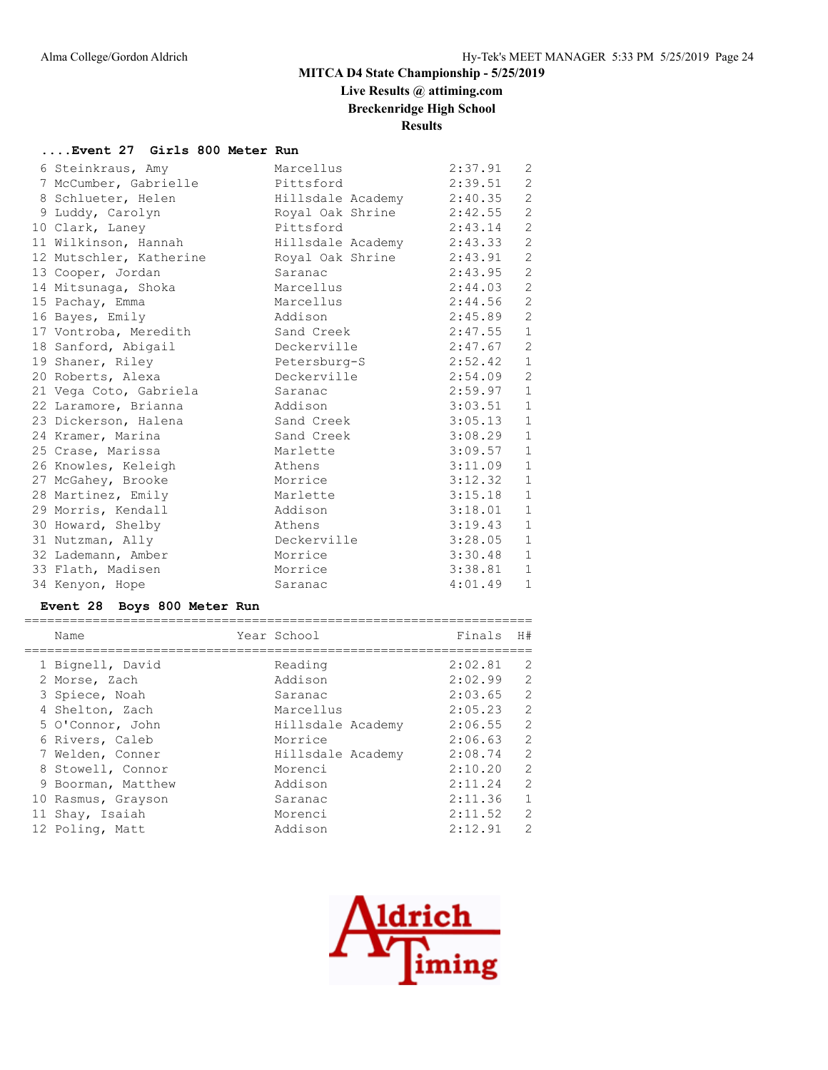# **Live Results @ attiming.com**

**Breckenridge High School**

# **Results**

#### **....Event 27 Girls 800 Meter Run**

| 6 Steinkraus, Amy       | Marcellus         | 2:37.91 | 2              |
|-------------------------|-------------------|---------|----------------|
| 7 McCumber, Gabrielle   | Pittsford         | 2:39.51 | 2              |
| 8 Schlueter, Helen      | Hillsdale Academy | 2:40.35 | 2              |
| 9 Luddy, Carolyn        | Royal Oak Shrine  | 2:42.55 | $\mathbf{2}$   |
| 10 Clark, Laney         | Pittsford         | 2:43.14 | 2              |
| 11 Wilkinson, Hannah    | Hillsdale Academy | 2:43.33 | $\overline{c}$ |
| 12 Mutschler, Katherine | Royal Oak Shrine  | 2:43.91 | $\overline{c}$ |
| 13 Cooper, Jordan       | Saranac           | 2:43.95 | $\mathbf{2}$   |
| 14 Mitsunaga, Shoka     | Marcellus         | 2:44.03 | 2              |
| 15 Pachay, Emma         | Marcellus         | 2:44.56 | $\mathbf{2}$   |
| 16 Bayes, Emily         | Addison           | 2:45.89 | $\mathbf{2}$   |
| 17 Vontroba, Meredith   | Sand Creek        | 2:47.55 | $\mathbf{1}$   |
| 18 Sanford, Abigail     | Deckerville       | 2:47.67 | 2              |
| 19 Shaner, Riley        | Petersburg-S      | 2:52.42 | $\mathbf{1}$   |
| 20 Roberts, Alexa       | Deckerville       | 2:54.09 | 2              |
| 21 Vega Coto, Gabriela  | Saranac           | 2:59.97 | $\mathbf{1}$   |
| 22 Laramore, Brianna    | Addison           | 3:03.51 | $\mathbf{1}$   |
| 23 Dickerson, Halena    | Sand Creek        | 3:05.13 | $\mathbf{1}$   |
| 24 Kramer, Marina       | Sand Creek        | 3:08.29 | $\mathbf{1}$   |
| 25 Crase, Marissa       | Marlette          | 3:09.57 | $\mathbf{1}$   |
| 26 Knowles, Keleigh     | Athens            | 3:11.09 | $\mathbf{1}$   |
| 27 McGahey, Brooke      | Morrice           | 3:12.32 | $\mathbf{1}$   |
| 28 Martinez, Emily      | Marlette          | 3:15.18 | $\mathbf{1}$   |
| 29 Morris, Kendall      | Addison           | 3:18.01 | $\mathbf{1}$   |
| 30 Howard, Shelby       | Athens            | 3:19.43 | $\mathbf{1}$   |
| 31 Nutzman, Ally        | Deckerville       | 3:28.05 | $\mathbf{1}$   |
| 32 Lademann, Amber      | Morrice           | 3:30.48 | $\mathbf{1}$   |
| 33 Flath, Madisen       | Morrice           | 3:38.81 | $\mathbf{1}$   |
| 34 Kenyon, Hope         | Saranac           | 4:01.49 | $\mathbf{1}$   |
|                         |                   |         |                |

#### **Event 28 Boys 800 Meter Run**

| Name               | Year School       | Finals  | H#             |
|--------------------|-------------------|---------|----------------|
| 1 Bignell, David   | Reading           | 2:02.81 | 2              |
| 2 Morse, Zach      | Addison           | 2:02.99 | $\overline{2}$ |
| 3 Spiece, Noah     | Saranac           | 2:03.65 | $\overline{2}$ |
| 4 Shelton, Zach    | Marcellus         | 2:05.23 | $\overline{c}$ |
| 5 O'Connor, John   | Hillsdale Academy | 2:06.55 | $\overline{2}$ |
| 6 Rivers, Caleb    | Morrice           | 2:06.63 | 2              |
| 7 Welden, Conner   | Hillsdale Academy | 2:08.74 | $\overline{c}$ |
| 8 Stowell, Connor  | Morenci           | 2:10.20 | $\overline{2}$ |
| 9 Boorman, Matthew | Addison           | 2:11.24 | $\overline{c}$ |
| 10 Rasmus, Grayson | Saranac           | 2:11.36 | $\mathbf{1}$   |
| 11 Shay, Isaiah    | Morenci           | 2:11.52 | $\overline{2}$ |
| 12 Poling, Matt    | Addison           | 2:12.91 | 2              |
|                    |                   |         |                |

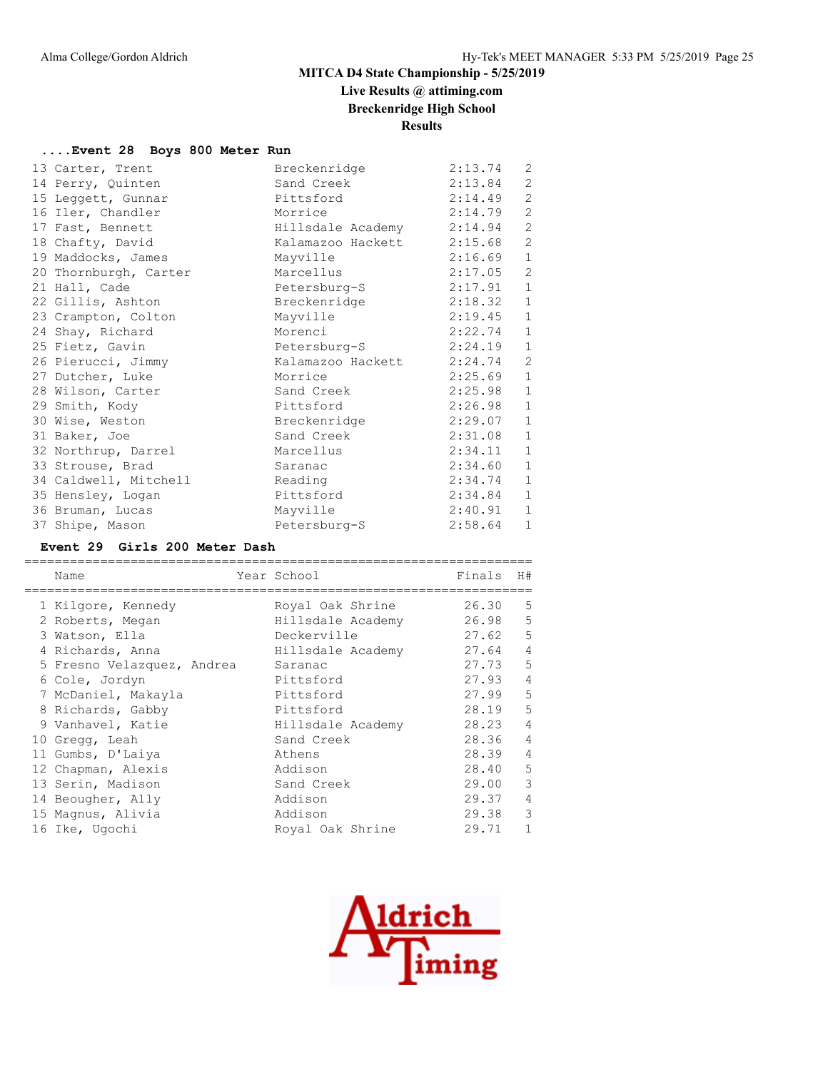# **Live Results @ attiming.com**

**Breckenridge High School**

**Results**

#### **....Event 28 Boys 800 Meter Run**

|  | 13 Carter, Trent      | Breckenridge      | 2:13.74 | 2            |
|--|-----------------------|-------------------|---------|--------------|
|  | 14 Perry, Quinten     | Sand Creek        | 2:13.84 | 2            |
|  | 15 Leggett, Gunnar    | Pittsford         | 2:14.49 | 2            |
|  | 16 Iler, Chandler     | Morrice           | 2:14.79 | 2            |
|  | 17 Fast, Bennett      | Hillsdale Academy | 2:14.94 | 2            |
|  | 18 Chafty, David      | Kalamazoo Hackett | 2:15.68 | 2            |
|  | 19 Maddocks, James    | Mayville          | 2:16.69 | $\mathbf{1}$ |
|  | 20 Thornburgh, Carter | Marcellus         | 2:17.05 | 2            |
|  | 21 Hall, Cade         | Petersburg-S      | 2:17.91 | $\mathbf{1}$ |
|  | 22 Gillis, Ashton     | Breckenridge      | 2:18.32 | $\mathbf{1}$ |
|  | 23 Crampton, Colton   | Mayville          | 2:19.45 | $\mathbf{1}$ |
|  | 24 Shay, Richard      | Morenci           | 2:22.74 | $\mathbf{1}$ |
|  | 25 Fietz, Gavin       | Petersburg-S      | 2:24.19 | $\mathbf{1}$ |
|  | 26 Pierucci, Jimmy    | Kalamazoo Hackett | 2:24.74 | $\mathbf{2}$ |
|  | 27 Dutcher, Luke      | Morrice           | 2:25.69 | $\mathbf{1}$ |
|  | 28 Wilson, Carter     | Sand Creek        | 2:25.98 | $\mathbf{1}$ |
|  | 29 Smith, Kody        | Pittsford         | 2:26.98 | $1\,$        |
|  | 30 Wise, Weston       | Breckenridge      | 2:29.07 | $\mathbf{1}$ |
|  | 31 Baker, Joe         | Sand Creek        | 2:31.08 | $\mathbf{1}$ |
|  | 32 Northrup, Darrel   | Marcellus         | 2:34.11 | $\mathbf{1}$ |
|  | 33 Strouse, Brad      | Saranac           | 2:34.60 | $\mathbf{1}$ |
|  | 34 Caldwell, Mitchell | Reading           | 2:34.74 | $\mathbf{1}$ |
|  | 35 Hensley, Logan     | Pittsford         | 2:34.84 | $\mathbf{1}$ |
|  | 36 Bruman, Lucas      | Mayville          | 2:40.91 | $\mathbf{1}$ |
|  | 37 Shipe, Mason       | Petersburg-S      | 2:58.64 | $\mathbf{1}$ |
|  |                       |                   |         |              |

#### **Event 29 Girls 200 Meter Dash**

| Name                       | Year School       | Finals | H#             |
|----------------------------|-------------------|--------|----------------|
| 1 Kilgore, Kennedy         | Royal Oak Shrine  | 26.30  | 5              |
| 2 Roberts, Megan           | Hillsdale Academy | 26.98  | 5              |
| 3 Watson, Ella             | Deckerville       | 27.62  | 5              |
| 4 Richards, Anna           | Hillsdale Academy | 27.64  | $\overline{4}$ |
| 5 Fresno Velazquez, Andrea | Saranac           | 27.73  | 5              |
| 6 Cole, Jordyn             | Pittsford         | 27.93  | $\overline{4}$ |
| 7 McDaniel, Makayla        | Pittsford         | 27.99  | 5              |
| 8 Richards, Gabby          | Pittsford         | 28.19  | 5              |
| 9 Vanhavel, Katie          | Hillsdale Academy | 28.23  | $\overline{4}$ |
| 10 Gregg, Leah             | Sand Creek        | 28.36  | $\overline{4}$ |
| 11 Gumbs, D'Laiya          | Athens            | 28.39  | $\overline{4}$ |
| 12 Chapman, Alexis         | Addison           | 28.40  | 5              |
| 13 Serin, Madison          | Sand Creek        | 29.00  | 3              |
| 14 Beougher, Ally          | Addison           | 29.37  | 4              |
| 15 Magnus, Alivia          | Addison           | 29.38  | 3              |
| 16 Ike, Ugochi             | Royal Oak Shrine  | 29.71  | 1              |

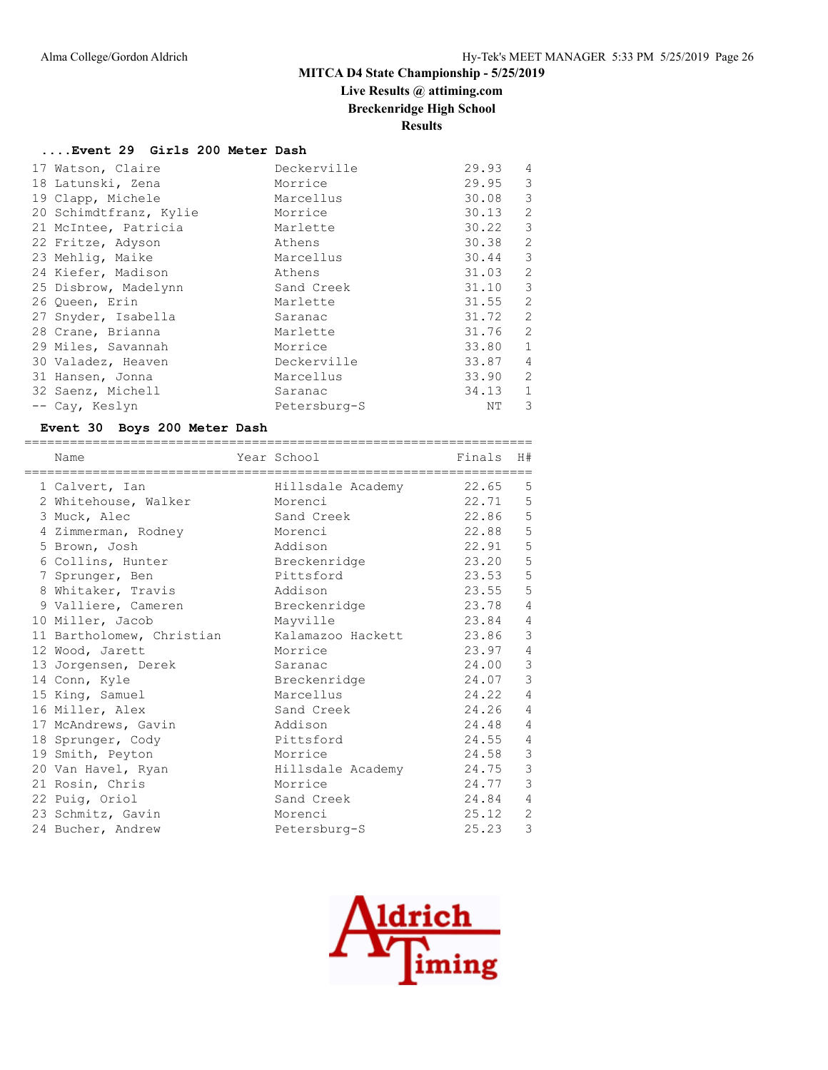# **Live Results @ attiming.com**

**Breckenridge High School**

**Results**

#### **....Event 29 Girls 200 Meter Dash**

| 17 Watson, Claire      | Deckerville  | 29.93 | 4              |
|------------------------|--------------|-------|----------------|
| 18 Latunski, Zena      | Morrice      | 29.95 | 3              |
| 19 Clapp, Michele      | Marcellus    | 30.08 | 3              |
| 20 Schimdtfranz, Kylie | Morrice      | 30.13 | 2              |
| 21 McIntee, Patricia   | Marlette     | 30.22 | 3              |
| 22 Fritze, Adyson      | Athens       | 30.38 | $\overline{c}$ |
| 23 Mehlig, Maike       | Marcellus    | 30.44 | 3              |
| 24 Kiefer, Madison     | Athens       | 31.03 | 2              |
| 25 Disbrow, Madelynn   | Sand Creek   | 31.10 | 3              |
| 26 Queen, Erin         | Marlette     | 31.55 | $\overline{2}$ |
| 27 Snyder, Isabella    | Saranac      | 31.72 | 2              |
| 28 Crane, Brianna      | Marlette     | 31.76 | 2              |
| 29 Miles, Savannah     | Morrice      | 33.80 | $\mathbf{1}$   |
| 30 Valadez, Heaven     | Deckerville  | 33.87 | $\overline{4}$ |
| 31 Hansen, Jonna       | Marcellus    | 33.90 | $\overline{2}$ |
| 32 Saenz, Michell      | Saranac      | 34.13 | $\mathbf{1}$   |
| -- Cay, Keslyn         | Petersburg-S | NΤ    | 3              |

## **Event 30 Boys 200 Meter Dash**

| Name                      | Year School             | Finals | H#             |
|---------------------------|-------------------------|--------|----------------|
|                           |                         |        |                |
| 1 Calvert, Ian            | Hillsdale Academy 22.65 |        | 5              |
| 2 Whitehouse, Walker      | Morenci                 | 22.71  | 5              |
| 3 Muck, Alec              | Sand Creek              | 22.86  | 5              |
| 4 Zimmerman, Rodney       | Morenci                 | 22.88  | 5              |
| 5 Brown, Josh             | Addison                 | 22.91  | 5              |
| 6 Collins, Hunter         | Breckenridge            | 23.20  | 5              |
| 7 Sprunger, Ben           | Pittsford               | 23.53  | 5              |
| 8 Whitaker, Travis        | Addison                 | 23.55  | 5              |
| 9 Valliere, Cameren       | Breckenridge            | 23.78  | $\overline{4}$ |
| 10 Miller, Jacob          | Mayville                | 23.84  | $\overline{4}$ |
| 11 Bartholomew, Christian | Kalamazoo Hackett       | 23.86  | 3              |
| 12 Wood, Jarett           | Morrice                 | 23.97  | $\overline{4}$ |
| 13 Jorgensen, Derek       | Saranac                 | 24.00  | 3              |
| 14 Conn, Kyle             | Breckenridge            | 24.07  | 3              |
| 15 King, Samuel           | Marcellus               | 24.22  | $\overline{4}$ |
| 16 Miller, Alex           | Sand Creek              | 24.26  | $\overline{4}$ |
| 17 McAndrews, Gavin       | Addison                 | 24.48  | $\overline{4}$ |
| 18 Sprunger, Cody         | Pittsford               | 24.55  | 4              |
| 19 Smith, Peyton          | Morrice                 | 24.58  | $\mathcal{S}$  |
| 20 Van Havel, Ryan        | Hillsdale Academy       | 24.75  | 3              |
| 21 Rosin, Chris           | Morrice                 | 24.77  | 3              |
| 22 Puig, Oriol            | Sand Creek              | 24.84  | $\overline{4}$ |
| 23 Schmitz, Gavin         | Morenci                 | 25.12  | $\overline{2}$ |
| 24 Bucher, Andrew         | Petersburg-S            | 25.23  | 3              |

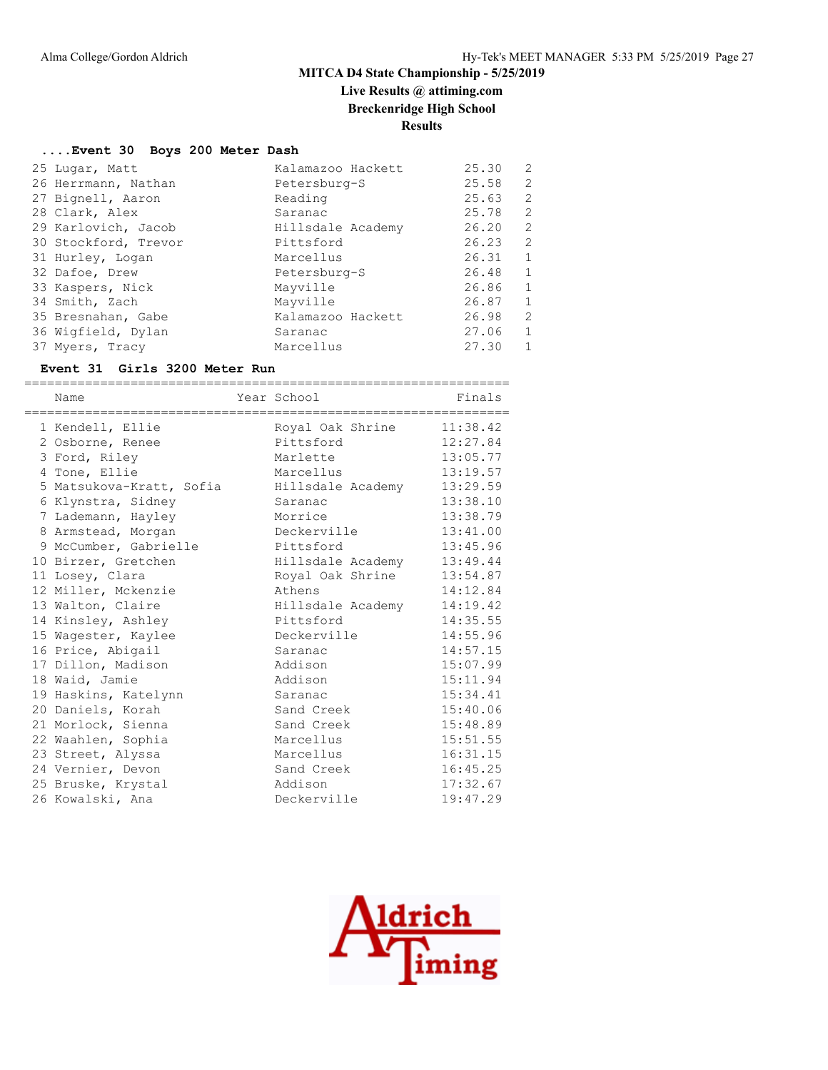# **Live Results @ attiming.com**

**Breckenridge High School**

# **Results**

#### **....Event 30 Boys 200 Meter Dash**

| 25 Lugar, Matt       | Kalamazoo Hackett | 25.30 | 2              |
|----------------------|-------------------|-------|----------------|
| 26 Herrmann, Nathan  | Petersburg-S      | 25.58 | 2              |
| 27 Bignell, Aaron    | Reading           | 25.63 | 2              |
| 28 Clark, Alex       | Saranac           | 25.78 | 2              |
| 29 Karlovich, Jacob  | Hillsdale Academy | 26.20 | 2              |
| 30 Stockford, Trevor | Pittsford         | 26.23 | 2              |
| 31 Hurley, Logan     | Marcellus         | 26.31 | 1              |
| 32 Dafoe, Drew       | Petersburg-S      | 26.48 | 1              |
| 33 Kaspers, Nick     | Mayville          | 26.86 | $\mathbf{1}$   |
| 34 Smith, Zach       | Mayville          | 26.87 | -1             |
| 35 Bresnahan, Gabe   | Kalamazoo Hackett | 26.98 | $\overline{2}$ |
| 36 Wigfield, Dylan   | Saranac           | 27.06 | $\mathbf{1}$   |
| 37 Myers, Tracy      | Marcellus         | 27.30 |                |

#### **Event 31 Girls 3200 Meter Run**

| Name                     | Year School       | Finals   |
|--------------------------|-------------------|----------|
| 1 Kendell, Ellie         | Royal Oak Shrine  | 11:38.42 |
| 2 Osborne, Renee         | Pittsford         | 12:27.84 |
| 3 Ford, Riley            | Marlette          | 13:05.77 |
| 4 Tone, Ellie            | Marcellus         | 13:19.57 |
| 5 Matsukova-Kratt, Sofia | Hillsdale Academy | 13:29.59 |
| 6 Klynstra, Sidney       | Saranac           | 13:38.10 |
| 7 Lademann, Hayley       | Morrice           | 13:38.79 |
| 8 Armstead, Morgan       | Deckerville       | 13:41.00 |
| 9 McCumber, Gabrielle    | Pittsford         | 13:45.96 |
| 10 Birzer, Gretchen      | Hillsdale Academy | 13:49.44 |
| 11 Losey, Clara          | Royal Oak Shrine  | 13:54.87 |
| 12 Miller, Mckenzie      | Athens            | 14:12.84 |
| 13 Walton, Claire        | Hillsdale Academy | 14:19.42 |
| 14 Kinsley, Ashley       | Pittsford         | 14:35.55 |
| 15 Wagester, Kaylee      | Deckerville       | 14:55.96 |
| 16 Price, Abigail        | Saranac           | 14:57.15 |
| 17 Dillon, Madison       | Addison           | 15:07.99 |
| 18 Waid, Jamie           | Addison           | 15:11.94 |
| 19 Haskins, Katelynn     | Saranac           | 15:34.41 |
| 20 Daniels, Korah        | Sand Creek        | 15:40.06 |
| 21 Morlock, Sienna       | Sand Creek        | 15:48.89 |
| 22 Waahlen, Sophia       | Marcellus         | 15:51.55 |
| 23 Street, Alyssa        | Marcellus         | 16:31.15 |
| 24 Vernier, Devon        | Sand Creek        | 16:45.25 |
| 25 Bruske, Krystal       | Addison           | 17:32.67 |
| 26 Kowalski, Ana         | Deckerville       | 19:47.29 |

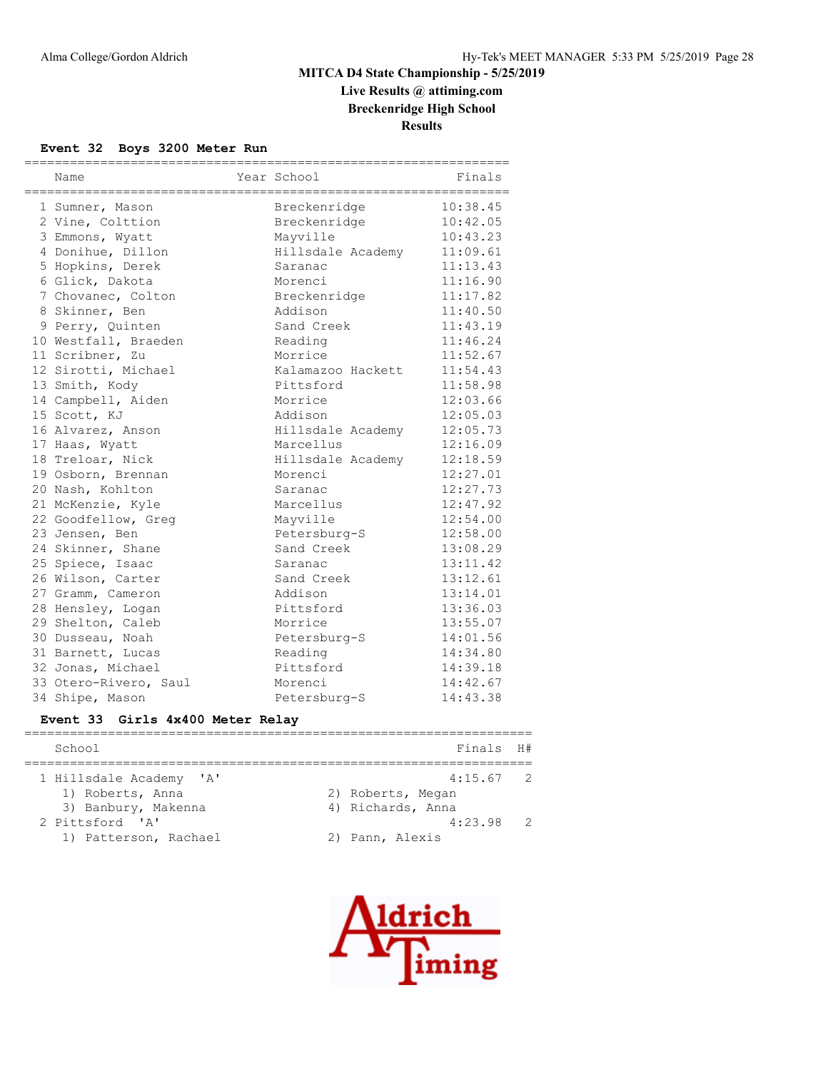# **Live Results @ attiming.com Breckenridge High School**

**Results**

#### **Event 32 Boys 3200 Meter Run**

| Name                  | Year School<br>======================== | Finals   |
|-----------------------|-----------------------------------------|----------|
| 1 Sumner, Mason       | Breckenridge                            | 10:38.45 |
| 2 Vine, Colttion      | Breckenridge                            | 10:42.05 |
| 3 Emmons, Wyatt       | Mayville                                | 10:43.23 |
| 4 Donihue, Dillon     | Hillsdale Academy                       | 11:09.61 |
| 5 Hopkins, Derek      | Saranac                                 | 11:13.43 |
| 6 Glick, Dakota       | Morenci                                 | 11:16.90 |
| 7 Chovanec, Colton    | Breckenridge                            | 11:17.82 |
| 8 Skinner, Ben        | Addison                                 | 11:40.50 |
| 9 Perry, Quinten      | Sand Creek                              | 11:43.19 |
| 10 Westfall, Braeden  | Reading                                 | 11:46.24 |
| 11 Scribner, Zu       | Morrice                                 | 11:52.67 |
| 12 Sirotti, Michael   | Kalamazoo Hackett                       | 11:54.43 |
| 13 Smith, Kody        | Pittsford                               | 11:58.98 |
| 14 Campbell, Aiden    | Morrice                                 | 12:03.66 |
| 15 Scott, KJ          | Addison                                 | 12:05.03 |
| 16 Alvarez, Anson     | Hillsdale Academy                       | 12:05.73 |
| 17 Haas, Wyatt        | Marcellus                               | 12:16.09 |
| 18 Treloar, Nick      | Hillsdale Academy                       | 12:18.59 |
| 19 Osborn, Brennan    | Morenci                                 | 12:27.01 |
| 20 Nash, Kohlton      | Saranac                                 | 12:27.73 |
| 21 McKenzie, Kyle     | Marcellus                               | 12:47.92 |
| 22 Goodfellow, Greg   | Mayville                                | 12:54.00 |
| 23 Jensen, Ben        | Petersburg-S                            | 12:58.00 |
| 24 Skinner, Shane     | Sand Creek                              | 13:08.29 |
| 25 Spiece, Isaac      | Saranac                                 | 13:11.42 |
| 26 Wilson, Carter     | Sand Creek                              | 13:12.61 |
| 27 Gramm, Cameron     | Addison                                 | 13:14.01 |
| 28 Hensley, Logan     | Pittsford                               | 13:36.03 |
| 29 Shelton, Caleb     | Morrice                                 | 13:55.07 |
| 30 Dusseau, Noah      | Petersburg-S                            | 14:01.56 |
| 31 Barnett, Lucas     | Reading                                 | 14:34.80 |
| 32 Jonas, Michael     | Pittsford                               | 14:39.18 |
| 33 Otero-Rivero, Saul | Morenci                                 | 14:42.67 |
| 34 Shipe, Mason       | Petersburg-S                            | 14:43.38 |

## **Event 33 Girls 4x400 Meter Relay**

| School                  | Finals H#         |
|-------------------------|-------------------|
| 1 Hillsdale Academy 'A' | $4:15.67$ 2       |
| 1) Roberts, Anna        | 2) Roberts, Megan |
| 3) Banbury, Makenna     | 4) Richards, Anna |
| 2 Pittsford 'A'         | $4:23.98$ 2       |
| 1) Patterson, Rachael   | 2) Pann, Alexis   |

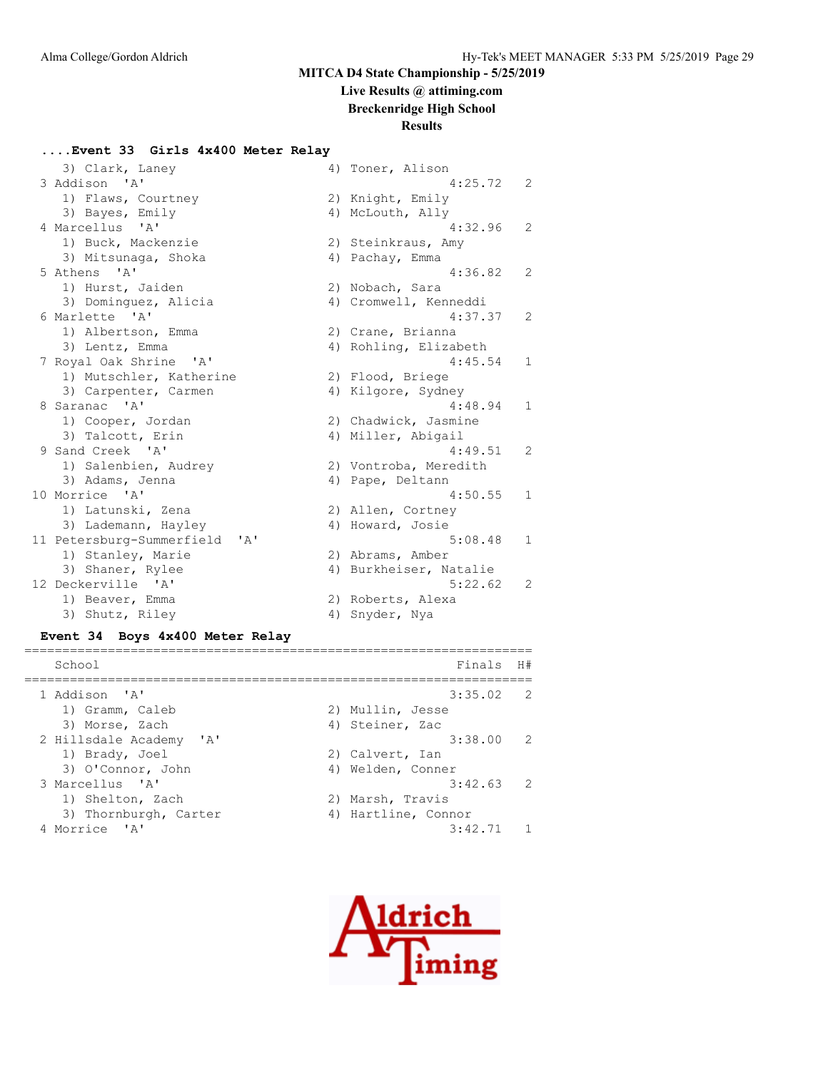# **Live Results @ attiming.com**

**Breckenridge High School**

#### **Results**

#### **....Event 33 Girls 4x400 Meter Relay**

| 3) Clark, Laney               |    | 4) Toner, Alison       |              |
|-------------------------------|----|------------------------|--------------|
| 3 Addison 'A'                 |    | 4:25.72                | 2            |
| 1) Flaws, Courtney            |    | 2) Knight, Emily       |              |
| 3) Bayes, Emily               |    | 4) McLouth, Ally       |              |
| 4 Marcellus 'A'               |    | 4:32.96                | 2            |
| 1) Buck, Mackenzie            |    | 2) Steinkraus, Amy     |              |
| 3) Mitsunaga, Shoka           |    | 4) Pachay, Emma        |              |
| 5 Athens 'A'                  |    | 4:36.82                | 2            |
| 1) Hurst, Jaiden              |    | 2) Nobach, Sara        |              |
| 3) Dominguez, Alicia          |    | 4) Cromwell, Kenneddi  |              |
| 6 Marlette 'A'                |    | 4:37.37                | 2            |
| 1) Albertson, Emma            |    | 2) Crane, Brianna      |              |
| 3) Lentz, Emma                |    | 4) Rohling, Elizabeth  |              |
| 7 Royal Oak Shrine 'A'        |    | 4:45.54                | 1            |
| 1) Mutschler, Katherine       |    | 2) Flood, Briege       |              |
| 3) Carpenter, Carmen          |    | 4) Kilgore, Sydney     |              |
| 8 Saranac 'A'                 |    | 4:48.94                | $\mathbf{1}$ |
| 1) Cooper, Jordan             |    | 2) Chadwick, Jasmine   |              |
| 3) Talcott, Erin              |    | 4) Miller, Abigail     |              |
| 9 Sand Creek 'A'              |    | 4:49.51                | 2            |
| 1) Salenbien, Audrey          |    | 2) Vontroba, Meredith  |              |
| 3) Adams, Jenna               |    | 4) Pape, Deltann       |              |
| 10 Morrice 'A'                |    | 4:50.55                | 1            |
| 1) Latunski, Zena             |    | 2) Allen, Cortney      |              |
| 3) Lademann, Hayley           |    | 4) Howard, Josie       |              |
| 11 Petersburg-Summerfield 'A' |    | 5:08.48                | $\mathbf{1}$ |
| 1) Stanley, Marie             |    | 2) Abrams, Amber       |              |
| 3) Shaner, Rylee              |    | 4) Burkheiser, Natalie |              |
| 12 Deckerville 'A'            |    | 5:22.62                | 2            |
| 1) Beaver, Emma               |    | 2) Roberts, Alexa      |              |
| 3) Shutz, Riley               | 4) | Snyder, Nya            |              |

#### **Event 34 Boys 4x400 Meter Relay**

| School                  | Finals              | H# |
|-------------------------|---------------------|----|
| 1 Addison 'A'           | $3:35.02$ 2         |    |
| 1) Gramm, Caleb         | 2) Mullin, Jesse    |    |
| 3) Morse, Zach          | 4) Steiner, Zac     |    |
| 2 Hillsdale Academy 'A' | $3:38.00$ 2         |    |
| 1) Brady, Joel          | 2) Calvert, Ian     |    |
| 3) O'Connor, John       | 4) Welden, Conner   |    |
| 3 Marcellus 'A'         | $3:42.63$ 2         |    |
| 1) Shelton, Zach        | 2) Marsh, Travis    |    |
| 3) Thornburgh, Carter   | 4) Hartline, Connor |    |
| 4 Morrice 'A'           | 3:42.71             |    |
|                         |                     |    |

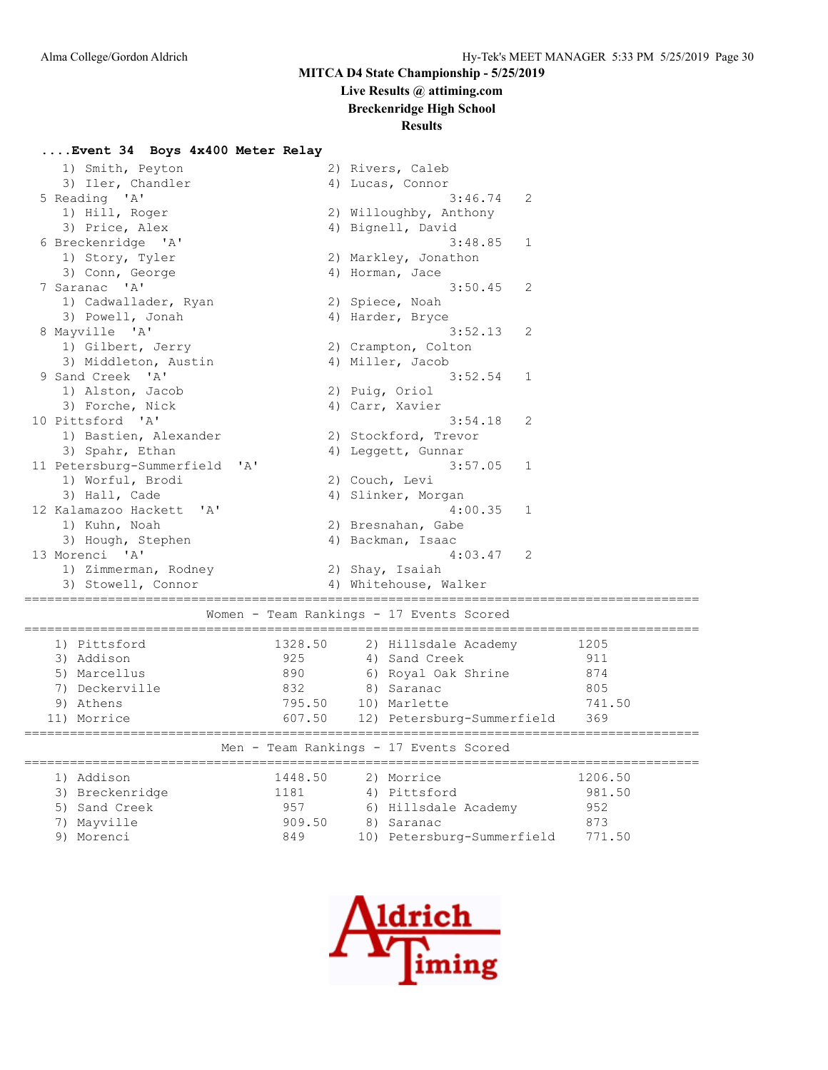# **Live Results @ attiming.com**

**Breckenridge High School**

# **Results**

#### **....Event 34 Boys 4x400 Meter Relay**

| 1) Smith, Peyton                       |         | 2) Rivers, Caleb                         |        |  |  |  |  |
|----------------------------------------|---------|------------------------------------------|--------|--|--|--|--|
| 3) Iler, Chandler                      |         | 4) Lucas, Connor                         |        |  |  |  |  |
| 5 Reading 'A'                          |         | 3:46.74<br>2                             |        |  |  |  |  |
| 1) Hill, Roger                         |         | 2) Willoughby, Anthony                   |        |  |  |  |  |
| 3) Price, Alex                         |         | 4) Bignell, David                        |        |  |  |  |  |
| 6 Breckenridge 'A'                     |         | 3:48.85<br>1                             |        |  |  |  |  |
| 1) Story, Tyler                        |         | 2) Markley, Jonathon                     |        |  |  |  |  |
| 3) Conn, George                        |         | 4) Horman, Jace                          |        |  |  |  |  |
| 7 Saranac 'A'                          |         | 3:50.45<br>2                             |        |  |  |  |  |
| 1) Cadwallader, Ryan                   |         | 2) Spiece, Noah                          |        |  |  |  |  |
| 3) Powell, Jonah                       |         | 4) Harder, Bryce                         |        |  |  |  |  |
| 8 Mayville 'A'                         |         | 3:52.13<br>2                             |        |  |  |  |  |
| 1) Gilbert, Jerry                      |         | 2) Crampton, Colton                      |        |  |  |  |  |
| 3) Middleton, Austin                   |         | 4) Miller, Jacob                         |        |  |  |  |  |
| 9 Sand Creek 'A'                       |         | 3:52.54<br>1                             |        |  |  |  |  |
| 1) Alston, Jacob                       |         | 2) Puig, Oriol                           |        |  |  |  |  |
| 3) Forche, Nick                        |         | 4) Carr, Xavier                          |        |  |  |  |  |
| 10 Pittsford 'A'                       |         | 3:54.18<br>2                             |        |  |  |  |  |
| 1) Bastien, Alexander                  |         | 2) Stockford, Trevor                     |        |  |  |  |  |
| 3) Spahr, Ethan                        |         | 4) Leggett, Gunnar                       |        |  |  |  |  |
| 11 Petersburg-Summerfield<br>A'        |         | 3:57.05<br>$\mathbf{1}$                  |        |  |  |  |  |
| 1) Worful, Brodi                       |         | 2) Couch, Levi                           |        |  |  |  |  |
| 3) Hall, Cade                          |         | 4) Slinker, Morgan                       |        |  |  |  |  |
| 12 Kalamazoo Hackett<br>$\mathsf{A}$   |         | 4:00.35<br>1                             |        |  |  |  |  |
| 1) Kuhn, Noah                          |         | 2) Bresnahan, Gabe                       |        |  |  |  |  |
| 3) Hough, Stephen                      |         | 4) Backman, Isaac                        |        |  |  |  |  |
| 13 Morenci 'A'                         |         | 4:03.47<br>2                             |        |  |  |  |  |
| 1) Zimmerman, Rodney                   |         | 2) Shay, Isaiah                          |        |  |  |  |  |
| 3) Stowell, Connor                     |         | 4) Whitehouse, Walker                    |        |  |  |  |  |
|                                        |         |                                          |        |  |  |  |  |
|                                        |         | Women - Team Rankings - 17 Events Scored |        |  |  |  |  |
| 1) Pittsford                           | 1328.50 | 2) Hillsdale Academy                     | 1205   |  |  |  |  |
| 3) Addison                             | 925     | 4) Sand Creek                            | 911    |  |  |  |  |
| 5) Marcellus                           | 890     | 6) Royal Oak Shrine                      | 874    |  |  |  |  |
| 7) Deckerville                         | 832     | 8) Saranac                               | 805    |  |  |  |  |
| 9) Athens                              | 795.50  | 10) Marlette                             | 741.50 |  |  |  |  |
| 11) Morrice                            | 607.50  | 12) Petersburg-Summerfield               | 369    |  |  |  |  |
|                                        |         |                                          |        |  |  |  |  |
| Men - Team Rankings - 17 Events Scored |         |                                          |        |  |  |  |  |

|  | 1) Addison      | 1448.50 | 2) Morrice                 | 1206.50 |
|--|-----------------|---------|----------------------------|---------|
|  | 3) Breckenridge | 1181    | 4) Pittsford               | 981.50  |
|  | 5) Sand Creek   | 957     | 6) Hillsdale Academy       | 952     |
|  | 7) Mayville     | 909.50  | 8) Saranac                 | 873     |
|  | 9) Morenci      | 849     | 10) Petersburg-Summerfield | 771.50  |
|  |                 |         |                            |         |